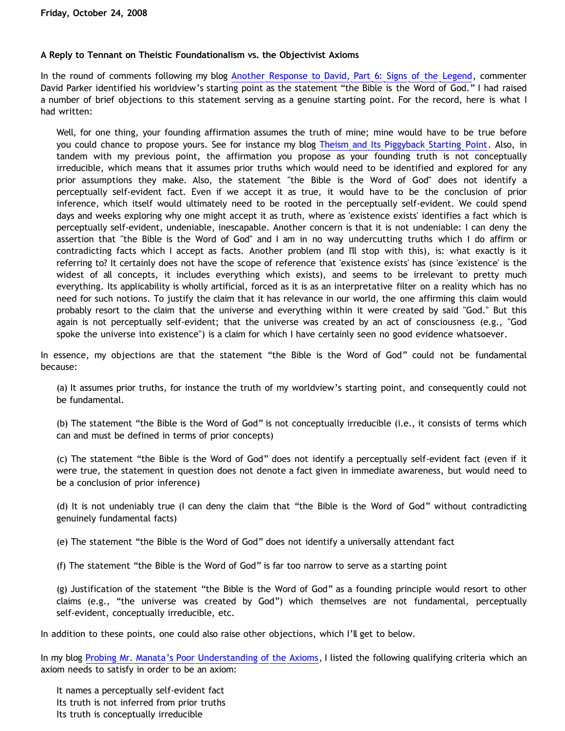### **A Reply to Tennant on Theistic Foundationalism vs. the Objectivist Axioms**

In the round of comments following my blog [Another Response to David, Part 6: Signs of the Legend,](http://bahnsenburner.blogspot.com/2008/09/another-response-to-david-part-6-signs.html) commenter David Parker identified his worldview's starting point as the statement "the Bible is the Word of God." I had raised a number of brief objections to this statement serving as a genuine starting point. For the record, here is what I had written:

Well, for one thing, your founding affirmation assumes the truth of mine; mine would have to be true before you could chance to propose yours. See for instance my blog [Theism and Its Piggyback Starting Point.](http://bahnsenburner.blogspot.com/2006/07/theism-and-its-piggyback-starting.html) Also, in tandem with my previous point, the affirmation you propose as your founding truth is not conceptually irreducible, which means that it assumes prior truths which would need to be identified and explored for any prior assumptions they make. Also, the statement "the Bible is the Word of God" does not identify a perceptually self-evident fact. Even if we accept it as true, it would have to be the conclusion of prior inference, which itself would ultimately need to be rooted in the perceptually self-evident. We could spend days and weeks exploring why one might accept it as truth, where as 'existence exists' identifies a fact which is perceptually self-evident, undeniable, inescapable. Another concern is that it is not undeniable: I can deny the assertion that "the Bible is the Word of God" and I am in no way undercutting truths which I do affirm or contradicting facts which I accept as facts. Another problem (and I'll stop with this), is: what exactly is it referring to? It certainly does not have the scope of reference that 'existence exists' has (since 'existence' is the widest of all concepts, it includes everything which exists), and seems to be irrelevant to pretty much everything. Its applicability is wholly artificial, forced as it is as an interpretative filter on a reality which has no need for such notions. To justify the claim that it has relevance in our world, the one affirming this claim would probably resort to the claim that the universe and everything within it were created by said "God." But this again is not perceptually self-evident; that the universe was created by an act of consciousness (e.g., "God spoke the universe into existence") is a claim for which I have certainly seen no good evidence whatsoever.

In essence, my objections are that the statement "the Bible is the Word of God" could not be fundamental because:

(a) It assumes prior truths, for instance the truth of my worldview's starting point, and consequently could not be fundamental.

(b) The statement "the Bible is the Word of God" is not conceptually irreducible (i.e., it consists of terms which can and must be defined in terms of prior concepts)

(c) The statement "the Bible is the Word of God" does not identify a perceptually self-evident fact (even if it were true, the statement in question does not denote a fact given in immediate awareness, but would need to be a conclusion of prior inference)

(d) It is not undeniably true (I can deny the claim that "the Bible is the Word of God" without contradicting genuinely fundamental facts)

(e) The statement "the Bible is the Word of God" does not identify a universally attendant fact

(f) The statement "the Bible is the Word of God" is far too narrow to serve as a starting point

(g) Justification of the statement "the Bible is the Word of God" as a founding principle would resort to other claims (e.g., "the universe was created by God") which themselves are not fundamental, perceptually self-evident, conceptually irreducible, etc.

In addition to these points, one could also raise other objections, which I'll get to below.

In my blog [Probing Mr. Manata's Poor Understanding of the Axioms,](http://bahnsenburner.blogspot.com/2005/10/probing-mr-manatas-poor-understanding.html) I listed the following qualifying criteria which an axiom needs to satisfy in order to be an axiom:

It names a perceptually self-evident fact Its truth is not inferred from prior truths Its truth is conceptually irreducible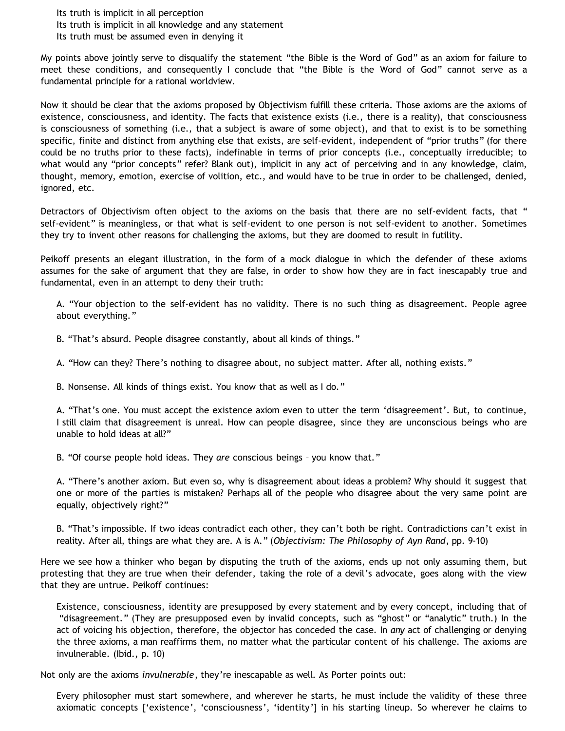Its truth is implicit in all perception

Its truth is implicit in all knowledge and any statement

Its truth must be assumed even in denying it

My points above jointly serve to disqualify the statement "the Bible is the Word of God" as an axiom for failure to meet these conditions, and consequently I conclude that "the Bible is the Word of God" cannot serve as a fundamental principle for a rational worldview.

Now it should be clear that the axioms proposed by Objectivism fulfill these criteria. Those axioms are the axioms of existence, consciousness, and identity. The facts that existence exists (i.e., there is a reality), that consciousness is consciousness of something (i.e., that a subject is aware of some object), and that to exist is to be something specific, finite and distinct from anything else that exists, are self-evident, independent of "prior truths" (for there could be no truths prior to these facts), indefinable in terms of prior concepts (i.e., conceptually irreducible; to what would any "prior concepts" refer? Blank out), implicit in any act of perceiving and in any knowledge, claim, thought, memory, emotion, exercise of volition, etc., and would have to be true in order to be challenged, denied, ignored, etc.

Detractors of Objectivism often object to the axioms on the basis that there are no self-evident facts, that " self-evident" is meaningless, or that what is self-evident to one person is not self-evident to another. Sometimes they try to invent other reasons for challenging the axioms, but they are doomed to result in futility.

Peikoff presents an elegant illustration, in the form of a mock dialogue in which the defender of these axioms assumes for the sake of argument that they are false, in order to show how they are in fact inescapably true and fundamental, even in an attempt to deny their truth:

A. "Your objection to the self-evident has no validity. There is no such thing as disagreement. People agree about everything."

B. "That's absurd. People disagree constantly, about all kinds of things."

A. "How can they? There's nothing to disagree about, no subject matter. After all, nothing exists."

B. Nonsense. All kinds of things exist. You know that as well as I do."

A. "That's one. You must accept the existence axiom even to utter the term 'disagreement'. But, to continue, I still claim that disagreement is unreal. How can people disagree, since they are unconscious beings who are unable to hold ideas at all?"

B. "Of course people hold ideas. They *are* conscious beings – you know that."

A. "There's another axiom. But even so, why is disagreement about ideas a problem? Why should it suggest that one or more of the parties is mistaken? Perhaps all of the people who disagree about the very same point are equally, objectively right?"

B. "That's impossible. If two ideas contradict each other, they can't both be right. Contradictions can't exist in reality. After all, things are what they are. A is A." (*Objectivism: The Philosophy of Ayn Rand*, pp. 9-10)

Here we see how a thinker who began by disputing the truth of the axioms, ends up not only assuming them, but protesting that they are true when their defender, taking the role of a devil's advocate, goes along with the view that they are untrue. Peikoff continues:

Existence, consciousness, identity are presupposed by every statement and by every concept, including that of "disagreement." (They are presupposed even by invalid concepts, such as "ghost" or "analytic" truth.) In the act of voicing his objection, therefore, the objector has conceded the case. In *any* act of challenging or denying the three axioms, a man reaffirms them, no matter what the particular content of his challenge. The axioms are invulnerable. (Ibid., p. 10)

Not only are the axioms *invulnerable*, they're inescapable as well. As Porter points out:

Every philosopher must start somewhere, and wherever he starts, he must include the validity of these three axiomatic concepts ['existence', 'consciousness', 'identity'] in his starting lineup. So wherever he claims to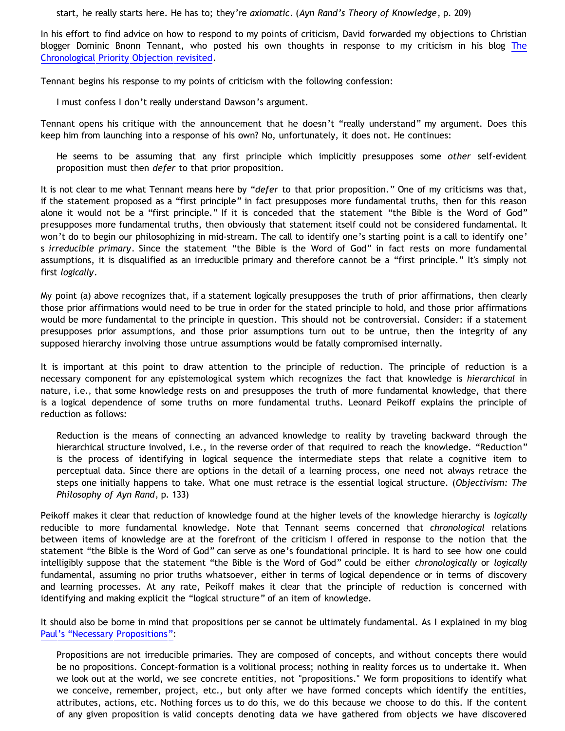start, he really starts here. He has to; they're *axiomatic*. (*Ayn Rand's Theory of Knowledge*, p. 209)

In his effort to find advice on how to respond to my points of criticism, David forwarded my objections to Christian blogger Dominic Bnonn Tennant, who posted his own thoughts in response to my criticism in his blog [The](http://bnonn.thinkingmatters.org.nz/2008/the-chronological-priority-objection-revisited/) [Chronological Priority Objection revisited.](http://bnonn.thinkingmatters.org.nz/2008/the-chronological-priority-objection-revisited/)

Tennant begins his response to my points of criticism with the following confession:

I must confess I don't really understand Dawson's argument.

Tennant opens his critique with the announcement that he doesn't "really understand" my argument. Does this keep him from launching into a response of his own? No, unfortunately, it does not. He continues:

He seems to be assuming that any first principle which implicitly presupposes some *other* self-evident proposition must then *defer* to that prior proposition.

It is not clear to me what Tennant means here by "*defer* to that prior proposition." One of my criticisms was that, if the statement proposed as a "first principle" in fact presupposes more fundamental truths, then for this reason alone it would not be a "first principle." If it is conceded that the statement "the Bible is the Word of God" presupposes more fundamental truths, then obviously that statement itself could not be considered fundamental. It won't do to begin our philosophizing in mid-stream. The call to identify one's starting point is a call to identify one' s *irreducible primary*. Since the statement "the Bible is the Word of God" in fact rests on more fundamental assumptions, it is disqualified as an irreducible primary and therefore cannot be a "first principle." It's simply not first *logically*.

My point (a) above recognizes that, if a statement logically presupposes the truth of prior affirmations, then clearly those prior affirmations would need to be true in order for the stated principle to hold, and those prior affirmations would be more fundamental to the principle in question. This should not be controversial. Consider: if a statement presupposes prior assumptions, and those prior assumptions turn out to be untrue, then the integrity of any supposed hierarchy involving those untrue assumptions would be fatally compromised internally.

It is important at this point to draw attention to the principle of reduction. The principle of reduction is a necessary component for any epistemological system which recognizes the fact that knowledge is *hierarchical* in nature, i.e., that some knowledge rests on and presupposes the truth of more fundamental knowledge, that there is a logical dependence of some truths on more fundamental truths. Leonard Peikoff explains the principle of reduction as follows:

Reduction is the means of connecting an advanced knowledge to reality by traveling backward through the hierarchical structure involved, i.e., in the reverse order of that required to reach the knowledge. "Reduction" is the process of identifying in logical sequence the intermediate steps that relate a cognitive item to perceptual data. Since there are options in the detail of a learning process, one need not always retrace the steps one initially happens to take. What one must retrace is the essential logical structure. (*Objectivism: The Philosophy of Ayn Rand*, p. 133)

Peikoff makes it clear that reduction of knowledge found at the higher levels of the knowledge hierarchy is *logically* reducible to more fundamental knowledge. Note that Tennant seems concerned that *chronological* relations between items of knowledge are at the forefront of the criticism I offered in response to the notion that the statement "the Bible is the Word of God" can serve as one's foundational principle. It is hard to see how one could intelligibly suppose that the statement "the Bible is the Word of God" could be either *chronologically* or *logically* fundamental, assuming no prior truths whatsoever, either in terms of logical dependence or in terms of discovery and learning processes. At any rate, Peikoff makes it clear that the principle of reduction is concerned with identifying and making explicit the "logical structure" of an item of knowledge.

It should also be borne in mind that propositions per se cannot be ultimately fundamental. As I explained in my blog [Paul's](http://bahnsenburner.blogspot.com/2006/12/pauls-necessary-propositions.html) ["Necessary Propositions"](http://bahnsenburner.blogspot.com/2006/12/pauls-necessary-propositions.html):

Propositions are not irreducible primaries. They are composed of concepts, and without concepts there would be no propositions. Concept-formation is a volitional process; nothing in reality forces us to undertake it. When we look out at the world, we see concrete entities, not "propositions." We form propositions to identify what we conceive, remember, project, etc., but only after we have formed concepts which identify the entities, attributes, actions, etc. Nothing forces us to do this, we do this because we choose to do this. If the content of any given proposition is valid concepts denoting data we have gathered from objects we have discovered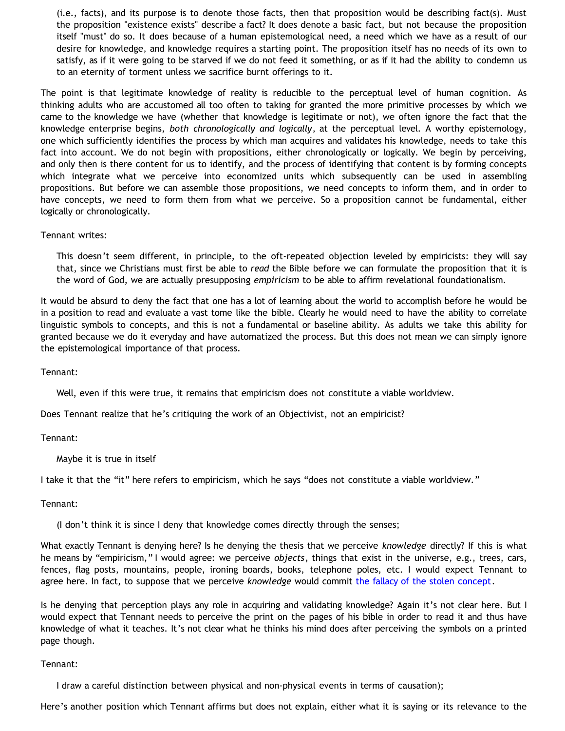(i.e., facts), and its purpose is to denote those facts, then that proposition would be describing fact(s). Must the proposition "existence exists" describe a fact? It does denote a basic fact, but not because the proposition itself "must" do so. It does because of a human epistemological need, a need which we have as a result of our desire for knowledge, and knowledge requires a starting point. The proposition itself has no needs of its own to satisfy, as if it were going to be starved if we do not feed it something, or as if it had the ability to condemn us to an eternity of torment unless we sacrifice burnt offerings to it.

The point is that legitimate knowledge of reality is reducible to the perceptual level of human cognition. As thinking adults who are accustomed all too often to taking for granted the more primitive processes by which we came to the knowledge we have (whether that knowledge is legitimate or not), we often ignore the fact that the knowledge enterprise begins, *both chronologically and logically*, at the perceptual level. A worthy epistemology, one which sufficiently identifies the process by which man acquires and validates his knowledge, needs to take this fact into account. We do not begin with propositions, either chronologically or logically. We begin by perceiving, and only then is there content for us to identify, and the process of identifying that content is by forming concepts which integrate what we perceive into economized units which subsequently can be used in assembling propositions. But before we can assemble those propositions, we need concepts to inform them, and in order to have concepts, we need to form them from what we perceive. So a proposition cannot be fundamental, either logically or chronologically.

### Tennant writes:

This doesn't seem different, in principle, to the oft-repeated objection leveled by empiricists: they will say that, since we Christians must first be able to *read* the Bible before we can formulate the proposition that it is the word of God, we are actually presupposing *empiricism* to be able to affirm revelational foundationalism.

It would be absurd to deny the fact that one has a lot of learning about the world to accomplish before he would be in a position to read and evaluate a vast tome like the bible. Clearly he would need to have the ability to correlate linguistic symbols to concepts, and this is not a fundamental or baseline ability. As adults we take this ability for granted because we do it everyday and have automatized the process. But this does not mean we can simply ignore the epistemological importance of that process.

Tennant:

Well, even if this were true, it remains that empiricism does not constitute a viable worldview.

Does Tennant realize that he's critiquing the work of an Objectivist, not an empiricist?

Tennant:

Maybe it is true in itself

I take it that the "it" here refers to empiricism, which he says "does not constitute a viable worldview."

### Tennant:

(I don't think it is since I deny that knowledge comes directly through the senses;

What exactly Tennant is denying here? Is he denying the thesis that we perceive *knowledge* directly? If this is what he means by "empiricism," I would agree: we perceive *objects*, things that exist in the universe, e.g., trees, cars, fences, flag posts, mountains, people, ironing boards, books, telephone poles, etc. I would expect Tennant to agree here. In fact, to suppose that we perceive *knowledge* would commit [the fallacy of the stolen concept](http://bahnsenburner.blogspot.com/2008/06/stolen-concepts-and-intellectual.html).

Is he denying that perception plays any role in acquiring and validating knowledge? Again it's not clear here. But I would expect that Tennant needs to perceive the print on the pages of his bible in order to read it and thus have knowledge of what it teaches. It's not clear what he thinks his mind does after perceiving the symbols on a printed page though.

### Tennant:

I draw a careful distinction between physical and non-physical events in terms of causation);

Here's another position which Tennant affirms but does not explain, either what it is saying or its relevance to the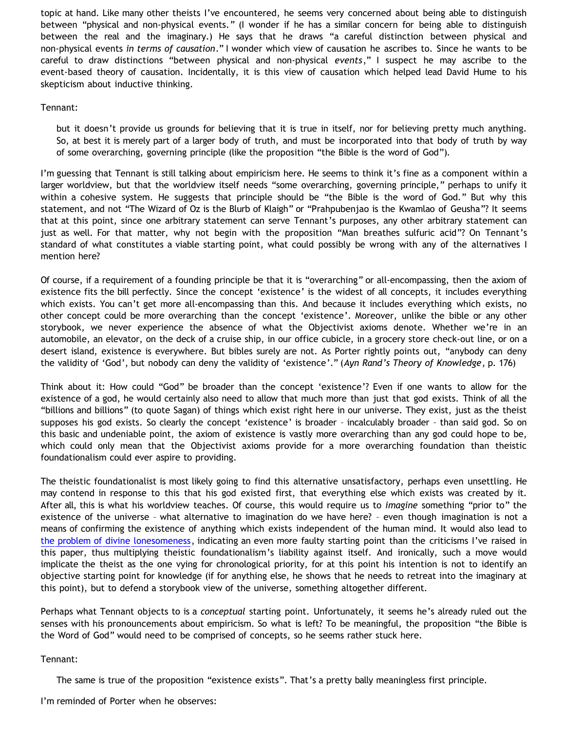topic at hand. Like many other theists I've encountered, he seems very concerned about being able to distinguish between "physical and non-physical events." (I wonder if he has a similar concern for being able to distinguish between the real and the imaginary.) He says that he draws "a careful distinction between physical and non-physical events *in terms of causation*." I wonder which view of causation he ascribes to. Since he wants to be careful to draw distinctions "between physical and non-physical *events*," I suspect he may ascribe to the event-based theory of causation. Incidentally, it is this view of causation which helped lead David Hume to his skepticism about inductive thinking.

### Tennant:

but it doesn't provide us grounds for believing that it is true in itself, nor for believing pretty much anything. So, at best it is merely part of a larger body of truth, and must be incorporated into that body of truth by way of some overarching, governing principle (like the proposition "the Bible is the word of God").

I'm guessing that Tennant is still talking about empiricism here. He seems to think it's fine as a component within a larger worldview, but that the worldview itself needs "some overarching, governing principle," perhaps to unify it within a cohesive system. He suggests that principle should be "the Bible is the word of God." But why this statement, and not "The Wizard of Oz is the Blurb of Klaigh" or "Prahpubenjao is the Kwamlao of Geusha"? It seems that at this point, since one arbitrary statement can serve Tennant's purposes, any other arbitrary statement can just as well. For that matter, why not begin with the proposition "Man breathes sulfuric acid"? On Tennant's standard of what constitutes a viable starting point, what could possibly be wrong with any of the alternatives I mention here?

Of course, if a requirement of a founding principle be that it is "overarching" or all-encompassing, then the axiom of existence fits the bill perfectly. Since the concept 'existence' is the widest of all concepts, it includes everything which exists. You can't get more all-encompassing than this. And because it includes everything which exists, no other concept could be more overarching than the concept 'existence'. Moreover, unlike the bible or any other storybook, we never experience the absence of what the Objectivist axioms denote. Whether we're in an automobile, an elevator, on the deck of a cruise ship, in our office cubicle, in a grocery store check-out line, or on a desert island, existence is everywhere. But bibles surely are not. As Porter rightly points out, "anybody can deny the validity of 'God', but nobody can deny the validity of 'existence'." (*Ayn Rand's Theory of Knowledge*, p. 176)

Think about it: How could "God" be broader than the concept 'existence'? Even if one wants to allow for the existence of a god, he would certainly also need to allow that much more than just that god exists. Think of all the "billions and billions" (to quote Sagan) of things which exist right here in our universe. They exist, just as the theist supposes his god exists. So clearly the concept 'existence' is broader – incalculably broader – than said god. So on this basic and undeniable point, the axiom of existence is vastly more overarching than any god could hope to be, which could only mean that the Objectivist axioms provide for a more overarching foundation than theistic foundationalism could ever aspire to providing.

The theistic foundationalist is most likely going to find this alternative unsatisfactory, perhaps even unsettling. He may contend in response to this that his god existed first, that everything else which exists was created by it. After all, this is what his worldview teaches. Of course, this would require us to *imagine* something "prior to" the existence of the universe – what alternative to imagination do we have here? – even though imagination is not a means of confirming the existence of anything which exists independent of the human mind. It would also lead to [the problem of divine lonesomeness](http://bahnsenburner.blogspot.com/2008/07/before-beginning-problem-of-divine.html), indicating an even more faulty starting point than the criticisms I've raised in this paper, thus multiplying theistic foundationalism's liability against itself. And ironically, such a move would implicate the theist as the one vying for chronological priority, for at this point his intention is not to identify an objective starting point for knowledge (if for anything else, he shows that he needs to retreat into the imaginary at this point), but to defend a storybook view of the universe, something altogether different.

Perhaps what Tennant objects to is a *conceptual* starting point. Unfortunately, it seems he's already ruled out the senses with his pronouncements about empiricism. So what is left? To be meaningful, the proposition "the Bible is the Word of God" would need to be comprised of concepts, so he seems rather stuck here.

### Tennant:

The same is true of the proposition "existence exists". That's a pretty bally meaningless first principle.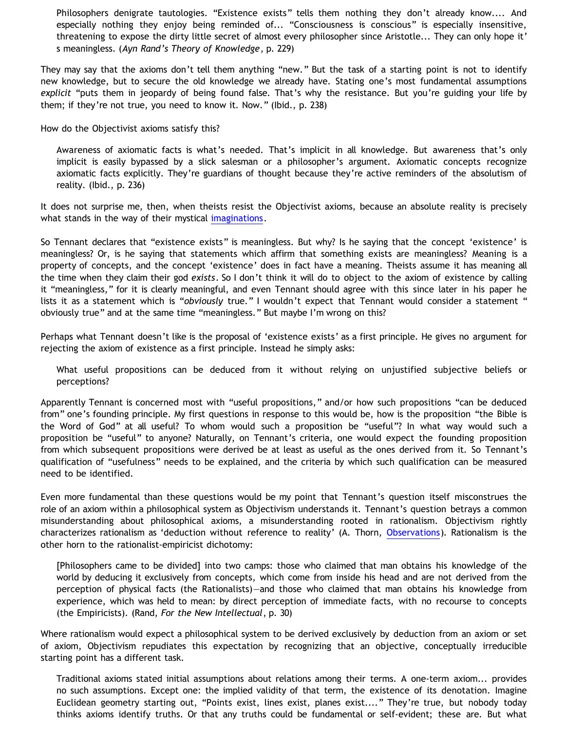Philosophers denigrate tautologies. "Existence exists" tells them nothing they don't already know.... And especially nothing they enjoy being reminded of... "Consciousness is conscious" is especially insensitive, threatening to expose the dirty little secret of almost every philosopher since Aristotle... They can only hope it' s meaningless. (*Ayn Rand's Theory of Knowledge*, p. 229)

They may say that the axioms don't tell them anything "new." But the task of a starting point is not to identify new knowledge, but to secure the old knowledge we already have. Stating one's most fundamental assumptions *explicit* "puts them in jeopardy of being found false. That's why the resistance. But you're guiding your life by them; if they're not true, you need to know it. Now." (Ibid., p. 238)

How do the Objectivist axioms satisfy this?

Awareness of axiomatic facts is what's needed. That's implicit in all knowledge. But awareness that's only implicit is easily bypassed by a slick salesman or a philosopher's argument. Axiomatic concepts recognize axiomatic facts explicitly. They're guardians of thought because they're active reminders of the absolutism of reality. (Ibid., p. 236)

It does not surprise me, then, when theists resist the Objectivist axioms, because an absolute reality is precisely what stands in the way of their mystical [imaginations.](http://bahnsenburner.blogspot.com/search/label/imagination)

So Tennant declares that "existence exists" is meaningless. But why? Is he saying that the concept 'existence' is meaningless? Or, is he saying that statements which affirm that something exists are meaningless? Meaning is a property of concepts, and the concept 'existence' does in fact have a meaning. Theists assume it has meaning all the time when they claim their god *exists*. So I don't think it will do to object to the axiom of existence by calling it "meaningless," for it is clearly meaningful, and even Tennant should agree with this since later in his paper he lists it as a statement which is "*obviously* true." I wouldn't expect that Tennant would consider a statement " obviously true" and at the same time "meaningless." But maybe I'm wrong on this?

Perhaps what Tennant doesn't like is the proposal of 'existence exists' as a first principle. He gives no argument for rejecting the axiom of existence as a first principle. Instead he simply asks:

What useful propositions can be deduced from it without relying on unjustified subjective beliefs or perceptions?

Apparently Tennant is concerned most with "useful propositions," and/or how such propositions "can be deduced from" one's founding principle. My first questions in response to this would be, how is the proposition "the Bible is the Word of God" at all useful? To whom would such a proposition be "useful"? In what way would such a proposition be "useful" to anyone? Naturally, on Tennant's criteria, one would expect the founding proposition from which subsequent propositions were derived be at least as useful as the ones derived from it. So Tennant's qualification of "usefulness" needs to be explained, and the criteria by which such qualification can be measured need to be identified.

Even more fundamental than these questions would be my point that Tennant's question itself misconstrues the role of an axiom within a philosophical system as Objectivism understands it. Tennant's question betrays a common misunderstanding about philosophical axioms, a misunderstanding rooted in rationalism. Objectivism rightly characterizes rationalism as 'deduction without reference to reality' (A. Thorn, [Observations\)](http://www.geocities.com/Athens/Sparta/1019/Observations.htm). Rationalism is the other horn to the rationalist-empiricist dichotomy:

[Philosophers came to be divided] into two camps: those who claimed that man obtains his knowledge of the world by deducing it exclusively from concepts, which come from inside his head and are not derived from the perception of physical facts (the Rationalists)—and those who claimed that man obtains his knowledge from experience, which was held to mean: by direct perception of immediate facts, with no recourse to concepts (the Empiricists). (Rand, *For the New Intellectual*, p. 30)

Where rationalism would expect a philosophical system to be derived exclusively by deduction from an axiom or set of axiom, Objectivism repudiates this expectation by recognizing that an objective, conceptually irreducible starting point has a different task.

Traditional axioms stated initial assumptions about relations among their terms. A one-term axiom... provides no such assumptions. Except one: the implied validity of that term, the existence of its denotation. Imagine Euclidean geometry starting out, "Points exist, lines exist, planes exist...." They're true, but nobody today thinks axioms identify truths. Or that any truths could be fundamental or self-evident; these are. But what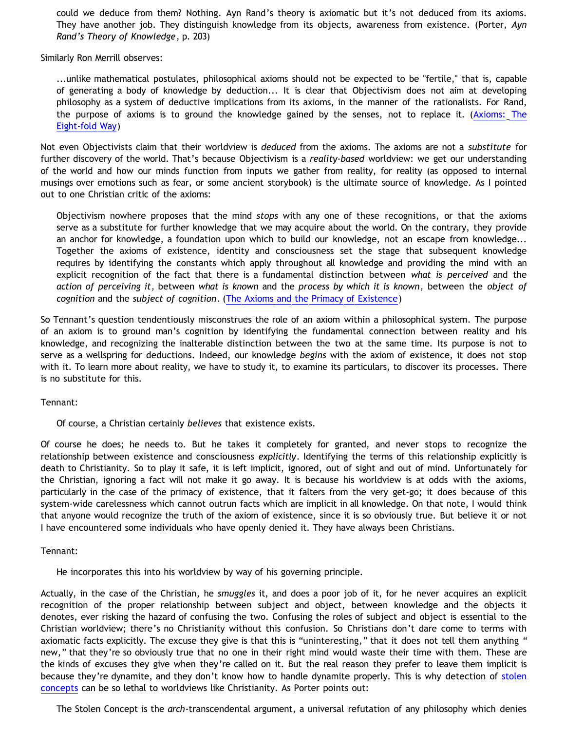could we deduce from them? Nothing. Ayn Rand's theory is axiomatic but it's not deduced from its axioms. They have another job. They distinguish knowledge from its objects, awareness from existence. (Porter, *Ayn Rand's Theory of Knowledge*, p. 203)

Similarly Ron Merrill observes:

...unlike mathematical postulates, philosophical axioms should not be expected to be "fertile," that is, capable of generating a body of knowledge by deduction... It is clear that Objectivism does not aim at developing philosophy as a system of deductive implications from its axioms, in the manner of the rationalists. For Rand, the purpose of axioms is to ground the knowledge gained by the senses, not to replace it. [\(Axioms: The](http://rous.redbarn.org/objectivism/Writing/RonMerrill/AxiomsTheEightFoldWay.html) [Eight-fold Way\)](http://rous.redbarn.org/objectivism/Writing/RonMerrill/AxiomsTheEightFoldWay.html)

Not even Objectivists claim that their worldview is *deduced* from the axioms. The axioms are not a *substitute* for further discovery of the world. That's because Objectivism is a *reality-based* worldview: we get our understanding of the world and how our minds function from inputs we gather from reality, for reality (as opposed to internal musings over emotions such as fear, or some ancient storybook) is the ultimate source of knowledge. As I pointed out to one Christian critic of the axioms:

Objectivism nowhere proposes that the mind *stops* with any one of these recognitions, or that the axioms serve as a substitute for further knowledge that we may acquire about the world. On the contrary, they provide an anchor for knowledge, a foundation upon which to build our knowledge, not an escape from knowledge... Together the axioms of existence, identity and consciousness set the stage that subsequent knowledge requires by identifying the constants which apply throughout all knowledge and providing the mind with an explicit recognition of the fact that there is a fundamental distinction between *what is perceived* and the *action of perceiving it*, between *what is known* and the *process by which it is known*, between the *object of cognition* and the *subject of cognition*. [\(The Axioms and the Primacy of Existence](http://bahnsenburner.blogspot.com/2006/12/axioms-and-primacy-of-existence.html))

So Tennant's question tendentiously misconstrues the role of an axiom within a philosophical system. The purpose of an axiom is to ground man's cognition by identifying the fundamental connection between reality and his knowledge, and recognizing the inalterable distinction between the two at the same time. Its purpose is not to serve as a wellspring for deductions. Indeed, our knowledge *begins* with the axiom of existence, it does not stop with it. To learn more about reality, we have to study it, to examine its particulars, to discover its processes. There is no substitute for this.

Tennant:

Of course, a Christian certainly *believes* that existence exists.

Of course he does; he needs to. But he takes it completely for granted, and never stops to recognize the relationship between existence and consciousness *explicitly*. Identifying the terms of this relationship explicitly is death to Christianity. So to play it safe, it is left implicit, ignored, out of sight and out of mind. Unfortunately for the Christian, ignoring a fact will not make it go away. It is because his worldview is at odds with the axioms, particularly in the case of the primacy of existence, that it falters from the very get-go; it does because of this system-wide carelessness which cannot outrun facts which are implicit in all knowledge. On that note, I would think that anyone would recognize the truth of the axiom of existence, since it is so obviously true. But believe it or not I have encountered some individuals who have openly denied it. They have always been Christians.

Tennant:

He incorporates this into his worldview by way of his governing principle.

Actually, in the case of the Christian, he *smuggles* it, and does a poor job of it, for he never acquires an explicit recognition of the proper relationship between subject and object, between knowledge and the objects it denotes, ever risking the hazard of confusing the two. Confusing the roles of subject and object is essential to the Christian worldview; there's no Christianity without this confusion. So Christians don't dare come to terms with axiomatic facts explicitly. The excuse they give is that this is "uninteresting," that it does not tell them anything " new," that they're so obviously true that no one in their right mind would waste their time with them. These are the kinds of excuses they give when they're called on it. But the real reason they prefer to leave them implicit is because they're dynamite, and they don't know how to handle dynamite properly. This is why detection of [stolen](http://bahnsenburner.blogspot.com/2008/06/stolen-concepts-and-intellectual.html) [concepts](http://bahnsenburner.blogspot.com/2008/06/stolen-concepts-and-intellectual.html) can be so lethal to worldviews like Christianity. As Porter points out:

The Stolen Concept is the *arch*-transcendental argument, a universal refutation of any philosophy which denies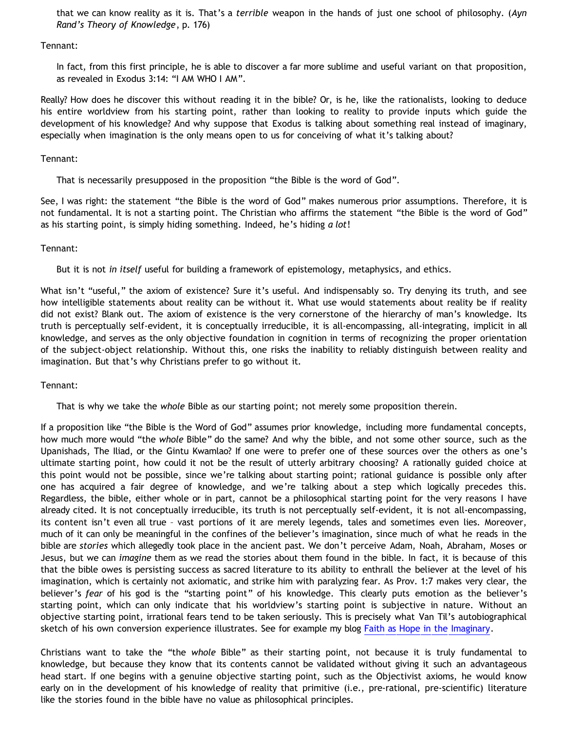that we can know reality as it is. That's a *terrible* weapon in the hands of just one school of philosophy. (*Ayn Rand's Theory of Knowledge*, p. 176)

### Tennant:

In fact, from this first principle, he is able to discover a far more sublime and useful variant on that proposition, as revealed in Exodus 3:14: "I AM WHO I AM".

Really? How does he discover this without reading it in the bible? Or, is he, like the rationalists, looking to deduce his entire worldview from his starting point, rather than looking to reality to provide inputs which guide the development of his knowledge? And why suppose that Exodus is talking about something real instead of imaginary, especially when imagination is the only means open to us for conceiving of what it's talking about?

### Tennant:

That is necessarily presupposed in the proposition "the Bible is the word of God".

See, I was right: the statement "the Bible is the word of God" makes numerous prior assumptions. Therefore, it is not fundamental. It is not a starting point. The Christian who affirms the statement "the Bible is the word of God" as his starting point, is simply hiding something. Indeed, he's hiding *a lot*!

# Tennant:

But it is not *in itself* useful for building a framework of epistemology, metaphysics, and ethics.

What isn't "useful," the axiom of existence? Sure it's useful. And indispensably so. Try denying its truth, and see how intelligible statements about reality can be without it. What use would statements about reality be if reality did not exist? Blank out. The axiom of existence is the very cornerstone of the hierarchy of man's knowledge. Its truth is perceptually self-evident, it is conceptually irreducible, it is all-encompassing, all-integrating, implicit in all knowledge, and serves as the only objective foundation in cognition in terms of recognizing the proper orientation of the subject-object relationship. Without this, one risks the inability to reliably distinguish between reality and imagination. But that's why Christians prefer to go without it.

Tennant:

That is why we take the *whole* Bible as our starting point; not merely some proposition therein.

If a proposition like "the Bible is the Word of God" assumes prior knowledge, including more fundamental concepts, how much more would "the *whole* Bible" do the same? And why the bible, and not some other source, such as the Upanishads, The Iliad, or the Gintu Kwamlao? If one were to prefer one of these sources over the others as one's ultimate starting point, how could it not be the result of utterly arbitrary choosing? A rationally guided choice at this point would not be possible, since we're talking about starting point; rational guidance is possible only after one has acquired a fair degree of knowledge, and we're talking about a step which logically precedes this. Regardless, the bible, either whole or in part, cannot be a philosophical starting point for the very reasons I have already cited. It is not conceptually irreducible, its truth is not perceptually self-evident, it is not all-encompassing, its content isn't even all true – vast portions of it are merely legends, tales and sometimes even lies. Moreover, much of it can only be meaningful in the confines of the believer's imagination, since much of what he reads in the bible are *stories* which allegedly took place in the ancient past. We don't perceive Adam, Noah, Abraham, Moses or Jesus, but we can *imagine* them as we read the stories about them found in the bible. In fact, it is because of this that the bible owes is persisting success as sacred literature to its ability to enthrall the believer at the level of his imagination, which is certainly not axiomatic, and strike him with paralyzing fear. As Prov. 1:7 makes very clear, the believer's *fear* of his god is the "starting point" of his knowledge. This clearly puts emotion as the believer's starting point, which can only indicate that his worldview's starting point is subjective in nature. Without an objective starting point, irrational fears tend to be taken seriously. This is precisely what Van Til's autobiographical sketch of his own conversion experience illustrates. See for example my blog [Faith as Hope in the Imaginary.](http://bahnsenburner.blogspot.com/2008/06/faith-as-hope-in-imaginary.html)

Christians want to take the "the *whole* Bible" as their starting point, not because it is truly fundamental to knowledge, but because they know that its contents cannot be validated without giving it such an advantageous head start. If one begins with a genuine objective starting point, such as the Objectivist axioms, he would know early on in the development of his knowledge of reality that primitive (i.e., pre-rational, pre-scientific) literature like the stories found in the bible have no value as philosophical principles.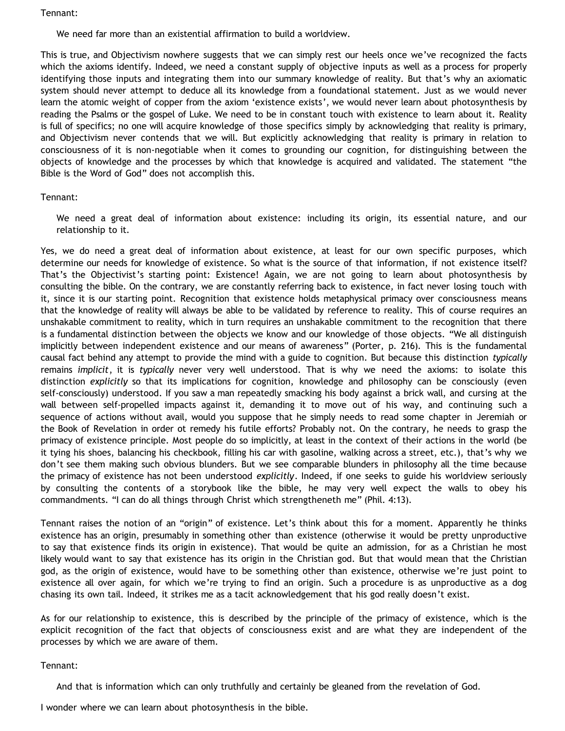Tennant:

We need far more than an existential affirmation to build a worldview.

This is true, and Objectivism nowhere suggests that we can simply rest our heels once we've recognized the facts which the axioms identify. Indeed, we need a constant supply of objective inputs as well as a process for properly identifying those inputs and integrating them into our summary knowledge of reality. But that's why an axiomatic system should never attempt to deduce all its knowledge from a foundational statement. Just as we would never learn the atomic weight of copper from the axiom 'existence exists', we would never learn about photosynthesis by reading the Psalms or the gospel of Luke. We need to be in constant touch with existence to learn about it. Reality is full of specifics; no one will acquire knowledge of those specifics simply by acknowledging that reality is primary, and Objectivism never contends that we will. But explicitly acknowledging that reality is primary in relation to consciousness of it is non-negotiable when it comes to grounding our cognition, for distinguishing between the objects of knowledge and the processes by which that knowledge is acquired and validated. The statement "the Bible is the Word of God" does not accomplish this.

### Tennant:

We need a great deal of information about existence: including its origin, its essential nature, and our relationship to it.

Yes, we do need a great deal of information about existence, at least for our own specific purposes, which determine our needs for knowledge of existence. So what is the source of that information, if not existence itself? That's the Objectivist's starting point: Existence! Again, we are not going to learn about photosynthesis by consulting the bible. On the contrary, we are constantly referring back to existence, in fact never losing touch with it, since it is our starting point. Recognition that existence holds metaphysical primacy over consciousness means that the knowledge of reality will always be able to be validated by reference to reality. This of course requires an unshakable commitment to reality, which in turn requires an unshakable commitment to the recognition that there is a fundamental distinction between the objects we know and our knowledge of those objects. "We all distinguish implicitly between independent existence and our means of awareness" (Porter, p. 216). This is the fundamental causal fact behind any attempt to provide the mind with a guide to cognition. But because this distinction *typically* remains *implicit*, it is *typically* never very well understood. That is why we need the axioms: to isolate this distinction *explicitly* so that its implications for cognition, knowledge and philosophy can be consciously (even self-consciously) understood. If you saw a man repeatedly smacking his body against a brick wall, and cursing at the wall between self-propelled impacts against it, demanding it to move out of his way, and continuing such a sequence of actions without avail, would you suppose that he simply needs to read some chapter in Jeremiah or the Book of Revelation in order ot remedy his futile efforts? Probably not. On the contrary, he needs to grasp the primacy of existence principle. Most people do so implicitly, at least in the context of their actions in the world (be it tying his shoes, balancing his checkbook, filling his car with gasoline, walking across a street, etc.), that's why we don't see them making such obvious blunders. But we see comparable blunders in philosophy all the time because the primacy of existence has not been understood *explicitly*. Indeed, if one seeks to guide his worldview seriously by consulting the contents of a storybook like the bible, he may very well expect the walls to obey his commandments. "I can do all things through Christ which strengtheneth me" (Phil. 4:13).

Tennant raises the notion of an "origin" of existence. Let's think about this for a moment. Apparently he thinks existence has an origin, presumably in something other than existence (otherwise it would be pretty unproductive to say that existence finds its origin in existence). That would be quite an admission, for as a Christian he most likely would want to say that existence has its origin in the Christian god. But that would mean that the Christian god, as the origin of existence, would have to be something other than existence, otherwise we're just point to existence all over again, for which we're trying to find an origin. Such a procedure is as unproductive as a dog chasing its own tail. Indeed, it strikes me as a tacit acknowledgement that his god really doesn't exist.

As for our relationship to existence, this is described by the principle of the primacy of existence, which is the explicit recognition of the fact that objects of consciousness exist and are what they are independent of the processes by which we are aware of them.

Tennant:

And that is information which can only truthfully and certainly be gleaned from the revelation of God.

I wonder where we can learn about photosynthesis in the bible.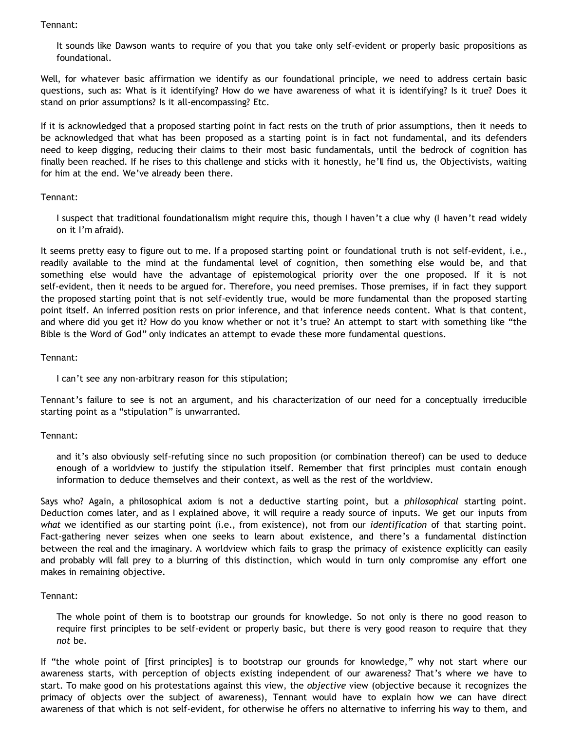Tennant:

It sounds like Dawson wants to require of you that you take only self-evident or properly basic propositions as foundational.

Well, for whatever basic affirmation we identify as our foundational principle, we need to address certain basic questions, such as: What is it identifying? How do we have awareness of what it is identifying? Is it true? Does it stand on prior assumptions? Is it all-encompassing? Etc.

If it is acknowledged that a proposed starting point in fact rests on the truth of prior assumptions, then it needs to be acknowledged that what has been proposed as a starting point is in fact not fundamental, and its defenders need to keep digging, reducing their claims to their most basic fundamentals, until the bedrock of cognition has finally been reached. If he rises to this challenge and sticks with it honestly, he'll find us, the Objectivists, waiting for him at the end. We've already been there.

### Tennant:

I suspect that traditional foundationalism might require this, though I haven't a clue why (I haven't read widely on it I'm afraid).

It seems pretty easy to figure out to me. If a proposed starting point or foundational truth is not self-evident, i.e., readily available to the mind at the fundamental level of cognition, then something else would be, and that something else would have the advantage of epistemological priority over the one proposed. If it is not self-evident, then it needs to be argued for. Therefore, you need premises. Those premises, if in fact they support the proposed starting point that is not self-evidently true, would be more fundamental than the proposed starting point itself. An inferred position rests on prior inference, and that inference needs content. What is that content, and where did you get it? How do you know whether or not it's true? An attempt to start with something like "the Bible is the Word of God" only indicates an attempt to evade these more fundamental questions.

Tennant:

I can't see any non-arbitrary reason for this stipulation;

Tennant's failure to see is not an argument, and his characterization of our need for a conceptually irreducible starting point as a "stipulation" is unwarranted.

# Tennant:

and it's also obviously self-refuting since no such proposition (or combination thereof) can be used to deduce enough of a worldview to justify the stipulation itself. Remember that first principles must contain enough information to deduce themselves and their context, as well as the rest of the worldview.

Says who? Again, a philosophical axiom is not a deductive starting point, but a *philosophical* starting point. Deduction comes later, and as I explained above, it will require a ready source of inputs. We get our inputs from *what* we identified as our starting point (i.e., from existence), not from our *identification* of that starting point. Fact-gathering never seizes when one seeks to learn about existence, and there's a fundamental distinction between the real and the imaginary. A worldview which fails to grasp the primacy of existence explicitly can easily and probably will fall prey to a blurring of this distinction, which would in turn only compromise any effort one makes in remaining objective.

# Tennant:

The whole point of them is to bootstrap our grounds for knowledge. So not only is there no good reason to require first principles to be self-evident or properly basic, but there is very good reason to require that they *not* be.

If "the whole point of [first principles] is to bootstrap our grounds for knowledge," why not start where our awareness starts, with perception of objects existing independent of our awareness? That's where we have to start. To make good on his protestations against this view, the *objective* view (objective because it recognizes the primacy of objects over the subject of awareness), Tennant would have to explain how we can have direct awareness of that which is not self-evident, for otherwise he offers no alternative to inferring his way to them, and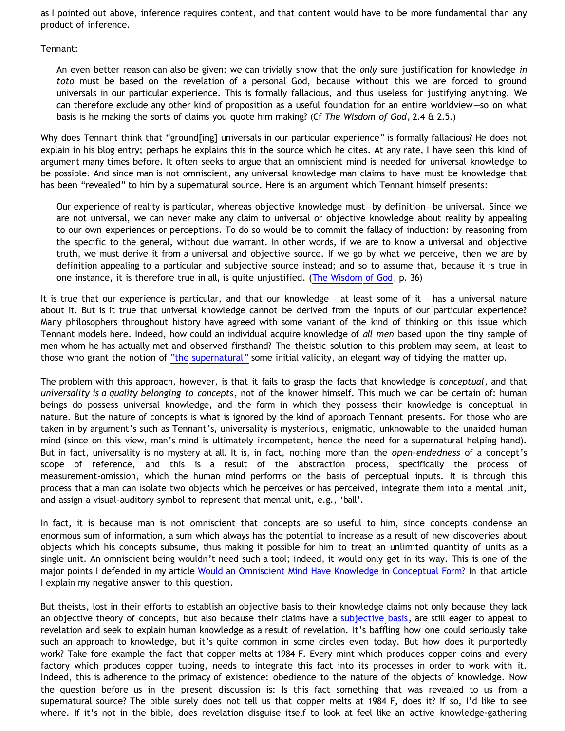as I pointed out above, inference requires content, and that content would have to be more fundamental than any product of inference.

Tennant:

An even better reason can also be given: we can trivially show that the *only* sure justification for knowledge *in toto* must be based on the revelation of a personal God, because without this we are forced to ground universals in our particular experience. This is formally fallacious, and thus useless for justifying anything. We can therefore exclude any other kind of proposition as a useful foundation for an entire worldview—so on what basis is he making the sorts of claims you quote him making? (Cf *The Wisdom of God*, 2.4 & 2.5.)

Why does Tennant think that "ground[ing] universals in our particular experience" is formally fallacious? He does not explain in his blog entry; perhaps he explains this in the source which he cites. At any rate, I have seen this kind of argument many times before. It often seeks to argue that an omniscient mind is needed for universal knowledge to be possible. And since man is not omniscient, any universal knowledge man claims to have must be knowledge that has been "revealed" to him by a supernatural source. Here is an argument which Tennant himself presents:

Our experience of reality is particular, whereas objective knowledge must—by definition—be universal. Since we are not universal, we can never make any claim to universal or objective knowledge about reality by appealing to our own experiences or perceptions. To do so would be to commit the fallacy of induction: by reasoning from the specific to the general, without due warrant. In other words, if we are to know a universal and objective truth, we must derive it from a universal and objective source. If we go by what we perceive, then we are by definition appealing to a particular and subjective source instead; and so to assume that, because it is true in one instance, it is therefore true in all, is quite unjustified. ([The Wisdom of God](http://bnonn.orcon.net.nz/books/the_wisdom_of_god/the_wisdom_of_god.pdf), p. 36)

It is true that our experience is particular, and that our knowledge – at least some of it – has a universal nature about it. But is it true that universal knowledge cannot be derived from the inputs of our particular experience? Many philosophers throughout history have agreed with some variant of the kind of thinking on this issue which Tennant models here. Indeed, how could an individual acquire knowledge of *all men* based upon the tiny sample of men whom he has actually met and observed firsthand? The theistic solution to this problem may seem, at least to those who grant the notion of ["the supernatural"](http://www.geocities.com/katholon/Bahnsen_Supernatural.htm) some initial validity, an elegant way of tidying the matter up.

The problem with this approach, however, is that it fails to grasp the facts that knowledge is *conceptual*, and that *universality is a quality belonging to concepts*, not of the knower himself. This much we can be certain of: human beings do possess universal knowledge, and the form in which they possess their knowledge is conceptual in nature. But the nature of concepts is what is ignored by the kind of approach Tennant presents. For those who are taken in by argument's such as Tennant's, universality is mysterious, enigmatic, unknowable to the unaided human mind (since on this view, man's mind is ultimately incompetent, hence the need for a supernatural helping hand). But in fact, universality is no mystery at all. It is, in fact, nothing more than the *open-endedness* of a concept's scope of reference, and this is a result of the abstraction process, specifically the process of measurement-omission, which the human mind performs on the basis of perceptual inputs. It is through this process that a man can isolate two objects which he perceives or has perceived, integrate them into a mental unit, and assign a visual-auditory symbol to represent that mental unit, e.g., 'ball'.

In fact, it is because man is not omniscient that concepts are so useful to him, since concepts condense an enormous sum of information, a sum which always has the potential to increase as a result of new discoveries about objects which his concepts subsume, thus making it possible for him to treat an unlimited quantity of units as a single unit. An omniscient being wouldn't need such a tool; indeed, it would only get in its way. This is one of the major points I defended in my article [Would an Omniscient Mind Have Knowledge in Conceptual Form?](http://bahnsenburner.blogspot.com/2007/04/would-omniscient-mind-have-knowledge-in.html) In that article I explain my negative answer to this question.

But theists, lost in their efforts to establish an objective basis to their knowledge claims not only because they lack an objective theory of concepts, but also because their claims have a [subjective basis,](http://bahnsenburner.blogspot.com/2006/12/theism-and-subjective-metaphysics.html) are still eager to appeal to revelation and seek to explain human knowledge as a result of revelation. It's baffling how one could seriously take such an approach to knowledge, but it's quite common in some circles even today. But how does it purportedly work? Take fore example the fact that copper melts at 1984 F. Every mint which produces copper coins and every factory which produces copper tubing, needs to integrate this fact into its processes in order to work with it. Indeed, this is adherence to the primacy of existence: obedience to the nature of the objects of knowledge. Now the question before us in the present discussion is: Is this fact something that was revealed to us from a supernatural source? The bible surely does not tell us that copper melts at 1984 F, does it? If so, I'd like to see where. If it's not in the bible, does revelation disguise itself to look at feel like an active knowledge-gathering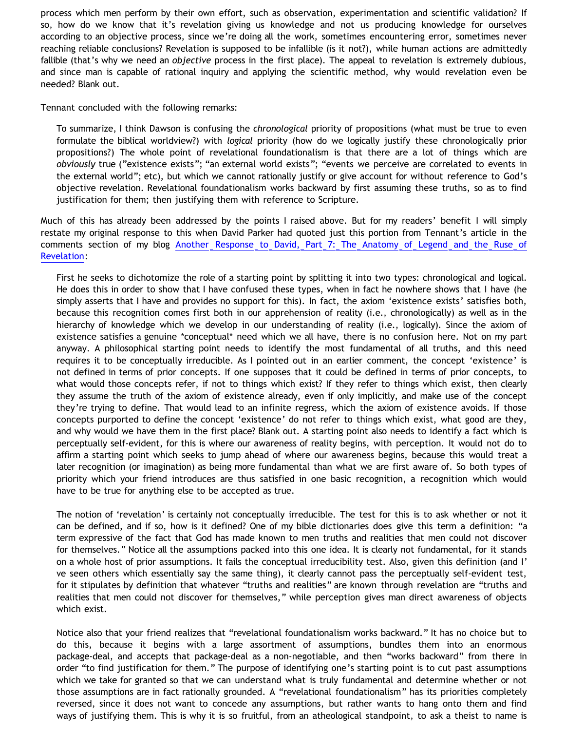process which men perform by their own effort, such as observation, experimentation and scientific validation? If so, how do we know that it's revelation giving us knowledge and not us producing knowledge for ourselves according to an objective process, since we're doing all the work, sometimes encountering error, sometimes never reaching reliable conclusions? Revelation is supposed to be infallible (is it not?), while human actions are admittedly fallible (that's why we need an *objective* process in the first place). The appeal to revelation is extremely dubious, and since man is capable of rational inquiry and applying the scientific method, why would revelation even be needed? Blank out.

Tennant concluded with the following remarks:

To summarize, I think Dawson is confusing the *chronological* priority of propositions (what must be true to even formulate the biblical worldview?) with *logical* priority (how do we logically justify these chronologically prior propositions?) The whole point of revelational foundationalism is that there are a lot of things which are *obviously* true ("existence exists"; "an external world exists"; "events we perceive are correlated to events in the external world"; etc), but which we cannot rationally justify or give account for without reference to God's objective revelation. Revelational foundationalism works backward by first assuming these truths, so as to find justification for them; then justifying them with reference to Scripture.

Much of this has already been addressed by the points I raised above. But for my readers' benefit I will simply restate my original response to this when David Parker had quoted just this portion from Tennant's article in the comments section of my blog [Another Response to David, Part 7: The Anatomy of Legend and the Ruse of](http://bahnsenburner.blogspot.com/2008/09/another-response-to-david-part-7.html) [Revelation:](http://bahnsenburner.blogspot.com/2008/09/another-response-to-david-part-7.html)

First he seeks to dichotomize the role of a starting point by splitting it into two types: chronological and logical. He does this in order to show that I have confused these types, when in fact he nowhere shows that I have (he simply asserts that I have and provides no support for this). In fact, the axiom 'existence exists' satisfies both, because this recognition comes first both in our apprehension of reality (i.e., chronologically) as well as in the hierarchy of knowledge which we develop in our understanding of reality (i.e., logically). Since the axiom of existence satisfies a genuine \*conceptual\* need which we all have, there is no confusion here. Not on my part anyway. A philosophical starting point needs to identify the most fundamental of all truths, and this need requires it to be conceptually irreducible. As I pointed out in an earlier comment, the concept 'existence' is not defined in terms of prior concepts. If one supposes that it could be defined in terms of prior concepts, to what would those concepts refer, if not to things which exist? If they refer to things which exist, then clearly they assume the truth of the axiom of existence already, even if only implicitly, and make use of the concept they're trying to define. That would lead to an infinite regress, which the axiom of existence avoids. If those concepts purported to define the concept 'existence' do not refer to things which exist, what good are they, and why would we have them in the first place? Blank out. A starting point also needs to identify a fact which is perceptually self-evident, for this is where our awareness of reality begins, with perception. It would not do to affirm a starting point which seeks to jump ahead of where our awareness begins, because this would treat a later recognition (or imagination) as being more fundamental than what we are first aware of. So both types of priority which your friend introduces are thus satisfied in one basic recognition, a recognition which would have to be true for anything else to be accepted as true.

The notion of 'revelation' is certainly not conceptually irreducible. The test for this is to ask whether or not it can be defined, and if so, how is it defined? One of my bible dictionaries does give this term a definition: "a term expressive of the fact that God has made known to men truths and realities that men could not discover for themselves." Notice all the assumptions packed into this one idea. It is clearly not fundamental, for it stands on a whole host of prior assumptions. It fails the conceptual irreducibility test. Also, given this definition (and I' ve seen others which essentially say the same thing), it clearly cannot pass the perceptually self-evident test, for it stipulates by definition that whatever "truths and realities" are known through revelation are "truths and realities that men could not discover for themselves," while perception gives man direct awareness of objects which exist.

Notice also that your friend realizes that "revelational foundationalism works backward." It has no choice but to do this, because it begins with a large assortment of assumptions, bundles them into an enormous package-deal, and accepts that package-deal as a non-negotiable, and then "works backward" from there in order "to find justification for them." The purpose of identifying one's starting point is to cut past assumptions which we take for granted so that we can understand what is truly fundamental and determine whether or not those assumptions are in fact rationally grounded. A "revelational foundationalism" has its priorities completely reversed, since it does not want to concede any assumptions, but rather wants to hang onto them and find ways of justifying them. This is why it is so fruitful, from an atheological standpoint, to ask a theist to name is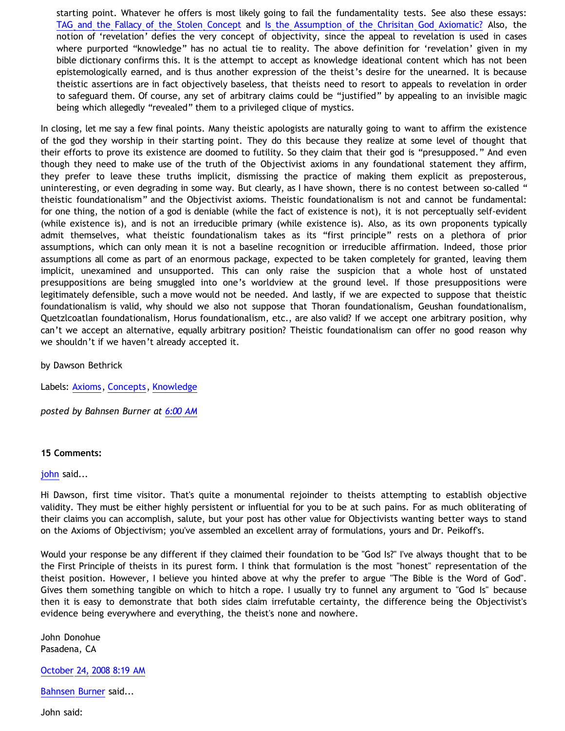starting point. Whatever he offers is most likely going to fail the fundamentality tests. See also these essays: [TAG and the Fallacy of the Stolen Concept](http://www.geocities.com/Athens/Sparta/1019/Morgue/TAG_Stolen_Concept.htm) and [Is the Assumption of the Chrisitan God Axiomatic?](http://bahnsenburner.blogspot.com/2005/06/is-assumption-of-christian-god.html) Also, the notion of 'revelation' defies the very concept of objectivity, since the appeal to revelation is used in cases where purported "knowledge" has no actual tie to reality. The above definition for 'revelation' given in my bible dictionary confirms this. It is the attempt to accept as knowledge ideational content which has not been epistemologically earned, and is thus another expression of the theist's desire for the unearned. It is because theistic assertions are in fact objectively baseless, that theists need to resort to appeals to revelation in order to safeguard them. Of course, any set of arbitrary claims could be "justified" by appealing to an invisible magic being which allegedly "revealed" them to a privileged clique of mystics.

In closing, let me say a few final points. Many theistic apologists are naturally going to want to affirm the existence of the god they worship in their starting point. They do this because they realize at some level of thought that their efforts to prove its existence are doomed to futility. So they claim that their god is "presupposed." And even though they need to make use of the truth of the Objectivist axioms in any foundational statement they affirm, they prefer to leave these truths implicit, dismissing the practice of making them explicit as preposterous, uninteresting, or even degrading in some way. But clearly, as I have shown, there is no contest between so-called " theistic foundationalism" and the Objectivist axioms. Theistic foundationalism is not and cannot be fundamental: for one thing, the notion of a god is deniable (while the fact of existence is not), it is not perceptually self-evident (while existence is), and is not an irreducible primary (while existence is). Also, as its own proponents typically admit themselves, what theistic foundationalism takes as its "first principle" rests on a plethora of prior assumptions, which can only mean it is not a baseline recognition or irreducible affirmation. Indeed, those prior assumptions all come as part of an enormous package, expected to be taken completely for granted, leaving them implicit, unexamined and unsupported. This can only raise the suspicion that a whole host of unstated presuppositions are being smuggled into one's worldview at the ground level. If those presuppositions were legitimately defensible, such a move would not be needed. And lastly, if we are expected to suppose that theistic foundationalism is valid, why should we also not suppose that Thoran foundationalism, Geushan foundationalism, Quetzlcoatlan foundationalism, Horus foundationalism, etc., are also valid? If we accept one arbitrary position, why can't we accept an alternative, equally arbitrary position? Theistic foundationalism can offer no good reason why we shouldn't if we haven't already accepted it.

by Dawson Bethrick

Labels: [Axioms](http://bahnsenburner.blogspot.com/search/label/Axioms), [Concepts,](http://bahnsenburner.blogspot.com/search/label/Concepts) [Knowledge](http://bahnsenburner.blogspot.com/search/label/Knowledge)

*posted by Bahnsen Burner at [6:00 AM](http://bahnsenburner.blogspot.com/2008/10/reply-to-tennant-on-theistic.html)*

### **15 Comments:**

### [john](http://www.blogger.com/profile/15002005729072165615) said...

Hi Dawson, first time visitor. That's quite a monumental rejoinder to theists attempting to establish objective validity. They must be either highly persistent or influential for you to be at such pains. For as much obliterating of their claims you can accomplish, salute, but your post has other value for Objectivists wanting better ways to stand on the Axioms of Objectivism; you've assembled an excellent array of formulations, yours and Dr. Peikoff's.

Would your response be any different if they claimed their foundation to be "God Is?" I've always thought that to be the First Principle of theists in its purest form. I think that formulation is the most "honest" representation of the theist position. However, I believe you hinted above at why the prefer to argue "The Bible is the Word of God". Gives them something tangible on which to hitch a rope. I usually try to funnel any argument to "God Is" because then it is easy to demonstrate that both sides claim irrefutable certainty, the difference being the Objectivist's evidence being everywhere and everything, the theist's none and nowhere.

John Donohue Pasadena, CA

[October 24, 2008 8:19 AM](http://bahnsenburner.blogspot.com/2008/10/1611881297553638771)

[Bahnsen Burner](http://www.blogger.com/profile/11030029491768748360) said...

John said: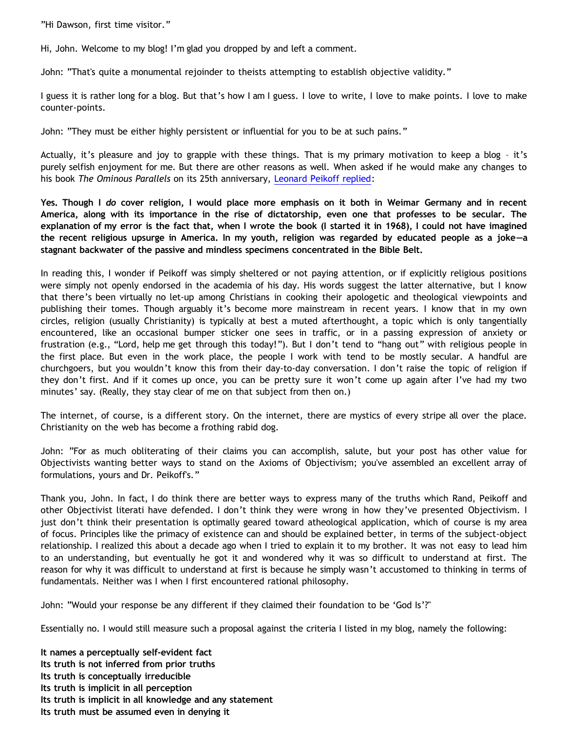"Hi Dawson, first time visitor."

Hi, John. Welcome to my blog! I'm glad you dropped by and left a comment.

John: "That's quite a monumental rejoinder to theists attempting to establish objective validity."

I guess it is rather long for a blog. But that's how I am I guess. I love to write, I love to make points. I love to make counter-points.

John: "They must be either highly persistent or influential for you to be at such pains."

Actually, it's pleasure and joy to grapple with these things. That is my primary motivation to keep a blog – it's purely selfish enjoyment for me. But there are other reasons as well. When asked if he would make any changes to his book *The Ominous Parallels* on its 25th anniversary, [Leonard Peikoff replied:](http://www.peikoff.com/)

**Yes. Though I** *do* **cover religion, I would place more emphasis on it both in Weimar Germany and in recent America, along with its importance in the rise of dictatorship, even one that professes to be secular. The explanation of my error is the fact that, when I wrote the book (I started it in 1968), I could not have imagined the recent religious upsurge in America. In my youth, religion was regarded by educated people as a joke—a stagnant backwater of the passive and mindless specimens concentrated in the Bible Belt.**

In reading this, I wonder if Peikoff was simply sheltered or not paying attention, or if explicitly religious positions were simply not openly endorsed in the academia of his day. His words suggest the latter alternative, but I know that there's been virtually no let-up among Christians in cooking their apologetic and theological viewpoints and publishing their tomes. Though arguably it's become more mainstream in recent years. I know that in my own circles, religion (usually Christianity) is typically at best a muted afterthought, a topic which is only tangentially encountered, like an occasional bumper sticker one sees in traffic, or in a passing expression of anxiety or frustration (e.g., "Lord, help me get through this today!"). But I don't tend to "hang out" with religious people in the first place. But even in the work place, the people I work with tend to be mostly secular. A handful are churchgoers, but you wouldn't know this from their day-to-day conversation. I don't raise the topic of religion if they don't first. And if it comes up once, you can be pretty sure it won't come up again after I've had my two minutes' say. (Really, they stay clear of me on that subject from then on.)

The internet, of course, is a different story. On the internet, there are mystics of every stripe all over the place. Christianity on the web has become a frothing rabid dog.

John: "For as much obliterating of their claims you can accomplish, salute, but your post has other value for Objectivists wanting better ways to stand on the Axioms of Objectivism; you've assembled an excellent array of formulations, yours and Dr. Peikoff's."

Thank you, John. In fact, I do think there are better ways to express many of the truths which Rand, Peikoff and other Objectivist literati have defended. I don't think they were wrong in how they've presented Objectivism. I just don't think their presentation is optimally geared toward atheological application, which of course is my area of focus. Principles like the primacy of existence can and should be explained better, in terms of the subject-object relationship. I realized this about a decade ago when I tried to explain it to my brother. It was not easy to lead him to an understanding, but eventually he got it and wondered why it was so difficult to understand at first. The reason for why it was difficult to understand at first is because he simply wasn't accustomed to thinking in terms of fundamentals. Neither was I when I first encountered rational philosophy.

John: "Would your response be any different if they claimed their foundation to be 'God Is'?"

Essentially no. I would still measure such a proposal against the criteria I listed in my blog, namely the following:

**It names a perceptually self-evident fact Its truth is not inferred from prior truths Its truth is conceptually irreducible Its truth is implicit in all perception Its truth is implicit in all knowledge and any statement Its truth must be assumed even in denying it**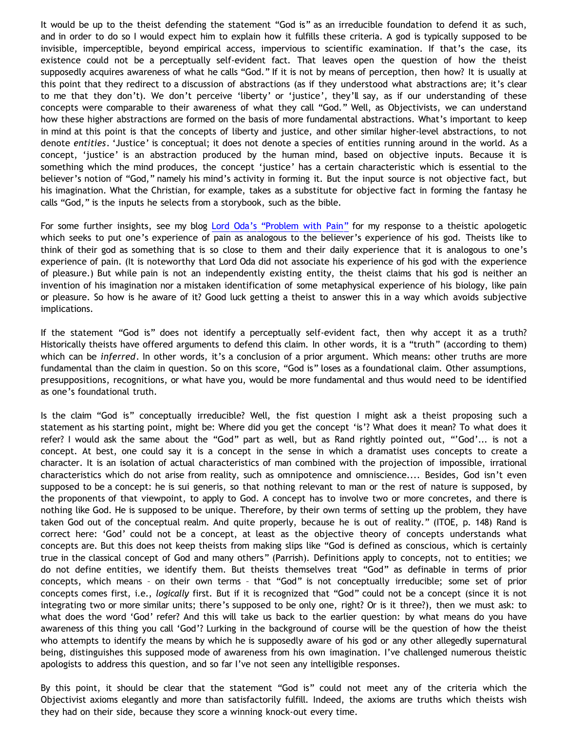It would be up to the theist defending the statement "God is" as an irreducible foundation to defend it as such, and in order to do so I would expect him to explain how it fulfills these criteria. A god is typically supposed to be invisible, imperceptible, beyond empirical access, impervious to scientific examination. If that's the case, its existence could not be a perceptually self-evident fact. That leaves open the question of how the theist supposedly acquires awareness of what he calls "God." If it is not by means of perception, then how? It is usually at this point that they redirect to a discussion of abstractions (as if they understood what abstractions are; it's clear to me that they don't). We don't perceive 'liberty' or 'justice', they'll say, as if our understanding of these concepts were comparable to their awareness of what they call "God." Well, as Objectivists, we can understand how these higher abstractions are formed on the basis of more fundamental abstractions. What's important to keep in mind at this point is that the concepts of liberty and justice, and other similar higher-level abstractions, to not denote *entities*. 'Justice' is conceptual; it does not denote a species of entities running around in the world. As a concept, 'justice' is an abstraction produced by the human mind, based on objective inputs. Because it is something which the mind produces, the concept 'justice' has a certain characteristic which is essential to the believer's notion of "God," namely his mind's activity in forming it. But the input source is not objective fact, but his imagination. What the Christian, for example, takes as a substitute for objective fact in forming the fantasy he calls "God," is the inputs he selects from a storybook, such as the bible.

For some further insights, see my blog [Lord Oda's](http://bahnsenburner.blogspot.com/2007/10/lord-odas-problem-with-pain.html) ["Problem with Pain"](http://bahnsenburner.blogspot.com/2007/10/lord-odas-problem-with-pain.html) for my response to a theistic apologetic which seeks to put one's experience of pain as analogous to the believer's experience of his god. Theists like to think of their god as something that is so close to them and their daily experience that it is analogous to one's experience of pain. (It is noteworthy that Lord Oda did not associate his experience of his god with the experience of pleasure.) But while pain is not an independently existing entity, the theist claims that his god is neither an invention of his imagination nor a mistaken identification of some metaphysical experience of his biology, like pain or pleasure. So how is he aware of it? Good luck getting a theist to answer this in a way which avoids subjective implications.

If the statement "God is" does not identify a perceptually self-evident fact, then why accept it as a truth? Historically theists have offered arguments to defend this claim. In other words, it is a "truth" (according to them) which can be *inferred*. In other words, it's a conclusion of a prior argument. Which means: other truths are more fundamental than the claim in question. So on this score, "God is" loses as a foundational claim. Other assumptions, presuppositions, recognitions, or what have you, would be more fundamental and thus would need to be identified as one's foundational truth.

Is the claim "God is" conceptually irreducible? Well, the fist question I might ask a theist proposing such a statement as his starting point, might be: Where did you get the concept 'is'? What does it mean? To what does it refer? I would ask the same about the "God" part as well, but as Rand rightly pointed out, "'God'... is not a concept. At best, one could say it is a concept in the sense in which a dramatist uses concepts to create a character. It is an isolation of actual characteristics of man combined with the projection of impossible, irrational characteristics which do not arise from reality, such as omnipotence and omniscience.... Besides, God isn't even supposed to be a concept: he is sui generis, so that nothing relevant to man or the rest of nature is supposed, by the proponents of that viewpoint, to apply to God. A concept has to involve two or more concretes, and there is nothing like God. He is supposed to be unique. Therefore, by their own terms of setting up the problem, they have taken God out of the conceptual realm. And quite properly, because he is out of reality." (ITOE, p. 148) Rand is correct here: 'God' could not be a concept, at least as the objective theory of concepts understands what concepts are. But this does not keep theists from making slips like "God is defined as conscious, which is certainly true in the classical concept of God and many others" (Parrish). Definitions apply to concepts, not to entities; we do not define entities, we identify them. But theists themselves treat "God" as definable in terms of prior concepts, which means – on their own terms – that "God" is not conceptually irreducible; some set of prior concepts comes first, i.e., *logically* first. But if it is recognized that "God" could not be a concept (since it is not integrating two or more similar units; there's supposed to be only one, right? Or is it three?), then we must ask: to what does the word 'God' refer? And this will take us back to the earlier question: by what means do you have awareness of this thing you call 'God'? Lurking in the background of course will be the question of how the theist who attempts to identify the means by which he is supposedly aware of his god or any other allegedly supernatural being, distinguishes this supposed mode of awareness from his own imagination. I've challenged numerous theistic apologists to address this question, and so far I've not seen any intelligible responses.

By this point, it should be clear that the statement "God is" could not meet any of the criteria which the Objectivist axioms elegantly and more than satisfactorily fulfill. Indeed, the axioms are truths which theists wish they had on their side, because they score a winning knock-out every time.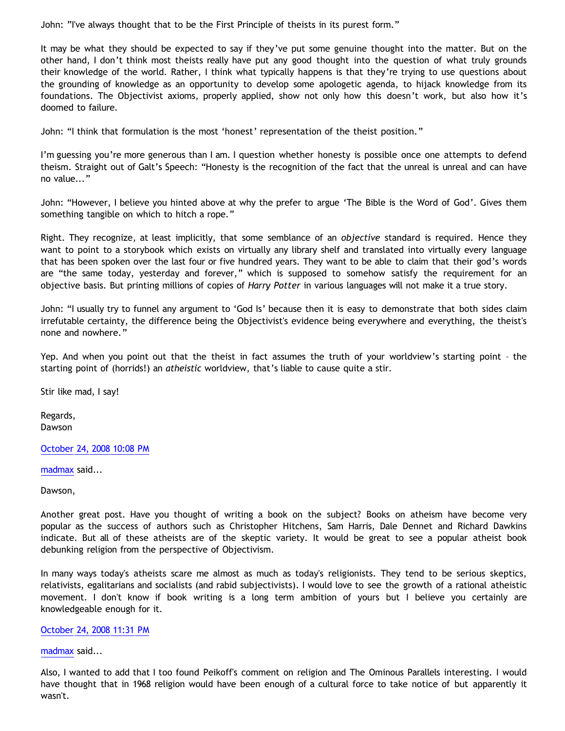John: "I've always thought that to be the First Principle of theists in its purest form."

It may be what they should be expected to say if they've put some genuine thought into the matter. But on the other hand, I don't think most theists really have put any good thought into the question of what truly grounds their knowledge of the world. Rather, I think what typically happens is that they're trying to use questions about the grounding of knowledge as an opportunity to develop some apologetic agenda, to hijack knowledge from its foundations. The Objectivist axioms, properly applied, show not only how this doesn't work, but also how it's doomed to failure.

John: "I think that formulation is the most 'honest' representation of the theist position."

I'm guessing you're more generous than I am. I question whether honesty is possible once one attempts to defend theism. Straight out of Galt's Speech: "Honesty is the recognition of the fact that the unreal is unreal and can have no value..."

John: "However, I believe you hinted above at why the prefer to argue 'The Bible is the Word of God'. Gives them something tangible on which to hitch a rope."

Right. They recognize, at least implicitly, that some semblance of an *objective* standard is required. Hence they want to point to a storybook which exists on virtually any library shelf and translated into virtually every language that has been spoken over the last four or five hundred years. They want to be able to claim that their god's words are "the same today, yesterday and forever," which is supposed to somehow satisfy the requirement for an objective basis. But printing millions of copies of *Harry Potter* in various languages will not make it a true story.

John: "I usually try to funnel any argument to 'God Is' because then it is easy to demonstrate that both sides claim irrefutable certainty, the difference being the Objectivist's evidence being everywhere and everything, the theist's none and nowhere."

Yep. And when you point out that the theist in fact assumes the truth of your worldview's starting point – the starting point of (horrids!) an *atheistic* worldview, that's liable to cause quite a stir.

Stir like mad, I say!

Regards, Dawson

### [October 24, 2008 10:08 PM](http://bahnsenburner.blogspot.com/2008/10/983691305886642050)

[madmax](http://www.blogger.com/profile/14375140131881725965) said...

Dawson,

Another great post. Have you thought of writing a book on the subject? Books on atheism have become very popular as the success of authors such as Christopher Hitchens, Sam Harris, Dale Dennet and Richard Dawkins indicate. But all of these atheists are of the skeptic variety. It would be great to see a popular atheist book debunking religion from the perspective of Objectivism.

In many ways today's atheists scare me almost as much as today's religionists. They tend to be serious skeptics, relativists, egalitarians and socialists (and rabid subjectivists). I would love to see the growth of a rational atheistic movement. I don't know if book writing is a long term ambition of yours but I believe you certainly are knowledgeable enough for it.

### [October 24, 2008 11:31 PM](http://bahnsenburner.blogspot.com/2008/10/5880905372820401586)

#### [madmax](http://www.blogger.com/profile/14375140131881725965) said...

Also, I wanted to add that I too found Peikoff's comment on religion and The Ominous Parallels interesting. I would have thought that in 1968 religion would have been enough of a cultural force to take notice of but apparently it wasn't.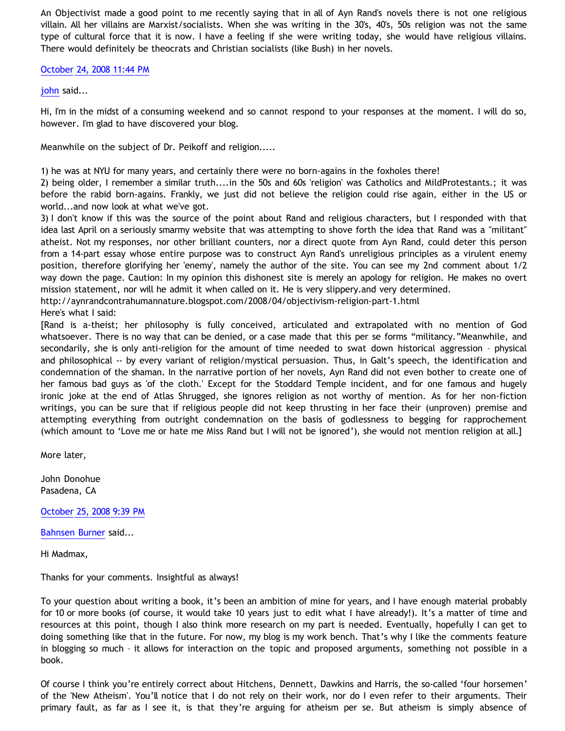An Objectivist made a good point to me recently saying that in all of Ayn Rand's novels there is not one religious villain. All her villains are Marxist/socialists. When she was writing in the 30's, 40's, 50s religion was not the same type of cultural force that it is now. I have a feeling if she were writing today, she would have religious villains. There would definitely be theocrats and Christian socialists (like Bush) in her novels.

# [October 24, 2008 11:44 PM](http://bahnsenburner.blogspot.com/2008/10/95210583937874113)

[john](http://www.blogger.com/profile/15002005729072165615) said...

Hi, I'm in the midst of a consuming weekend and so cannot respond to your responses at the moment. I will do so, however. I'm glad to have discovered your blog.

Meanwhile on the subject of Dr. Peikoff and religion.....

1) he was at NYU for many years, and certainly there were no born-agains in the foxholes there!

2) being older, I remember a similar truth....in the 50s and 60s 'religion' was Catholics and MildProtestants.; it was before the rabid born-agains. Frankly, we just did not believe the religion could rise again, either in the US or world...and now look at what we've got.

3) I don't know if this was the source of the point about Rand and religious characters, but I responded with that idea last April on a seriously smarmy website that was attempting to shove forth the idea that Rand was a "militant" atheist. Not my responses, nor other brilliant counters, nor a direct quote from Ayn Rand, could deter this person from a 14-part essay whose entire purpose was to construct Ayn Rand's unreligious principles as a virulent enemy position, therefore glorifying her 'enemy', namely the author of the site. You can see my 2nd comment about 1/2 way down the page. Caution: In my opinion this dishonest site is merely an apology for religion. He makes no overt mission statement, nor will he admit it when called on it. He is very slippery.and very determined.

<http://aynrandcontrahumannature.blogspot.com/2008/04/objectivism-religion-part-1.html>

Here's what I said:

[Rand is a-theist; her philosophy is fully conceived, articulated and extrapolated with no mention of God whatsoever. There is no way that can be denied, or a case made that this per se forms "militancy."Meanwhile, and secondarily, she is only anti-religion for the amount of time needed to swat down historical aggression – physical and philosophical -- by every variant of religion/mystical persuasion. Thus, in Galt's speech, the identification and condemnation of the shaman. In the narrative portion of her novels, Ayn Rand did not even bother to create one of her famous bad guys as 'of the cloth.' Except for the Stoddard Temple incident, and for one famous and hugely ironic joke at the end of Atlas Shrugged, she ignores religion as not worthy of mention. As for her non-fiction writings, you can be sure that if religious people did not keep thrusting in her face their (unproven) premise and attempting everything from outright condemnation on the basis of godlessness to begging for rapprochement (which amount to 'Love me or hate me Miss Rand but I will not be ignored'), she would not mention religion at all.]

More later,

John Donohue Pasadena, CA

[October 25, 2008 9:39 PM](http://bahnsenburner.blogspot.com/2008/10/3028464472519186350)

[Bahnsen Burner](http://www.blogger.com/profile/11030029491768748360) said...

Hi Madmax,

Thanks for your comments. Insightful as always!

To your question about writing a book, it's been an ambition of mine for years, and I have enough material probably for 10 or more books (of course, it would take 10 years just to edit what I have already!). It's a matter of time and resources at this point, though I also think more research on my part is needed. Eventually, hopefully I can get to doing something like that in the future. For now, my blog is my work bench. That's why I like the comments feature in blogging so much – it allows for interaction on the topic and proposed arguments, something not possible in a book.

Of course I think you're entirely correct about Hitchens, Dennett, Dawkins and Harris, the so-called 'four horsemen' of the 'New Atheism'. You'll notice that I do not rely on their work, nor do I even refer to their arguments. Their primary fault, as far as I see it, is that they're arguing for atheism per se. But atheism is simply absence of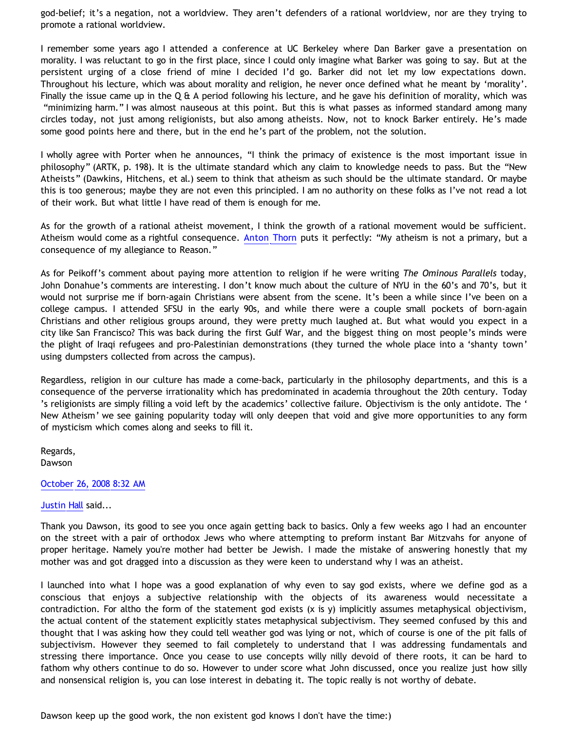god-belief; it's a negation, not a worldview. They aren't defenders of a rational worldview, nor are they trying to promote a rational worldview.

I remember some years ago I attended a conference at UC Berkeley where Dan Barker gave a presentation on morality. I was reluctant to go in the first place, since I could only imagine what Barker was going to say. But at the persistent urging of a close friend of mine I decided I'd go. Barker did not let my low expectations down. Throughout his lecture, which was about morality and religion, he never once defined what he meant by 'morality'. Finally the issue came up in the Q & A period following his lecture, and he gave his definition of morality, which was "minimizing harm." I was almost nauseous at this point. But this is what passes as informed standard among many circles today, not just among religionists, but also among atheists. Now, not to knock Barker entirely. He's made some good points here and there, but in the end he's part of the problem, not the solution.

I wholly agree with Porter when he announces, "I think the primacy of existence is the most important issue in philosophy" (ARTK, p. 198). It is the ultimate standard which any claim to knowledge needs to pass. But the "New Atheists" (Dawkins, Hitchens, et al.) seem to think that atheism as such should be the ultimate standard. Or maybe this is too generous; maybe they are not even this principled. I am no authority on these folks as I've not read a lot of their work. But what little I have read of them is enough for me.

As for the growth of a rational atheist movement, I think the growth of a rational movement would be sufficient. Atheism would come as a rightful consequence. [Anton Thorn](http://www.geocities.com/Athens/Sparta/1019/Credo.htm) puts it perfectly: "My atheism is not a primary, but a consequence of my allegiance to Reason."

As for Peikoff's comment about paying more attention to religion if he were writing *The Ominous Parallels* today, John Donahue's comments are interesting. I don't know much about the culture of NYU in the 60's and 70's, but it would not surprise me if born-again Christians were absent from the scene. It's been a while since I've been on a college campus. I attended SFSU in the early 90s, and while there were a couple small pockets of born-again Christians and other religious groups around, they were pretty much laughed at. But what would you expect in a city like San Francisco? This was back during the first Gulf War, and the biggest thing on most people's minds were the plight of Iraqi refugees and pro-Palestinian demonstrations (they turned the whole place into a 'shanty town' using dumpsters collected from across the campus).

Regardless, religion in our culture has made a come-back, particularly in the philosophy departments, and this is a consequence of the perverse irrationality which has predominated in academia throughout the 20th century. Today 's religionists are simply filling a void left by the academics' collective failure. Objectivism is the only antidote. The ' New Atheism' we see gaining popularity today will only deepen that void and give more opportunities to any form of mysticism which comes along and seeks to fill it.

Regards, Dawson

### [October 26, 2008 8:32 AM](http://bahnsenburner.blogspot.com/2008/10/624835842769071735)

### [Justin Hall](http://www.blogger.com/profile/17804641315202800289) said...

Thank you Dawson, its good to see you once again getting back to basics. Only a few weeks ago I had an encounter on the street with a pair of orthodox Jews who where attempting to preform instant Bar Mitzvahs for anyone of proper heritage. Namely you're mother had better be Jewish. I made the mistake of answering honestly that my mother was and got dragged into a discussion as they were keen to understand why I was an atheist.

I launched into what I hope was a good explanation of why even to say god exists, where we define god as a conscious that enjoys a subjective relationship with the objects of its awareness would necessitate a contradiction. For altho the form of the statement god exists (x is y) implicitly assumes metaphysical objectivism, the actual content of the statement explicitly states metaphysical subjectivism. They seemed confused by this and thought that I was asking how they could tell weather god was lying or not, which of course is one of the pit falls of subjectivism. However they seemed to fail completely to understand that I was addressing fundamentals and stressing there importance. Once you cease to use concepts willy nilly devoid of there roots, it can be hard to fathom why others continue to do so. However to under score what John discussed, once you realize just how silly and nonsensical religion is, you can lose interest in debating it. The topic really is not worthy of debate.

Dawson keep up the good work, the non existent god knows I don't have the time:)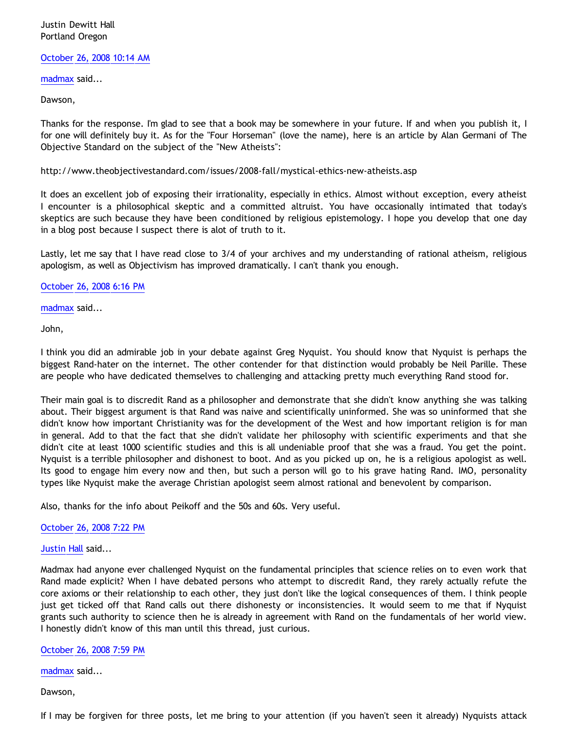# Justin Dewitt Hall Portland Oregon

### [October 26, 2008 10:14 AM](http://bahnsenburner.blogspot.com/2008/10/4587074743155542036)

[madmax](http://www.blogger.com/profile/14375140131881725965) said...

Dawson,

Thanks for the response. I'm glad to see that a book may be somewhere in your future. If and when you publish it, I for one will definitely buy it. As for the "Four Horseman" (love the name), here is an article by Alan Germani of The Objective Standard on the subject of the "New Atheists":

<http://www.theobjectivestandard.com/issues/2008-fall/mystical-ethics-new-atheists.asp>

It does an excellent job of exposing their irrationality, especially in ethics. Almost without exception, every atheist I encounter is a philosophical skeptic and a committed altruist. You have occasionally intimated that today's skeptics are such because they have been conditioned by religious epistemology. I hope you develop that one day in a blog post because I suspect there is alot of truth to it.

Lastly, let me say that I have read close to 3/4 of your archives and my understanding of rational atheism, religious apologism, as well as Objectivism has improved dramatically. I can't thank you enough.

[October 26, 2008 6:16 PM](http://bahnsenburner.blogspot.com/2008/10/6659843379701642795)

[madmax](http://www.blogger.com/profile/14375140131881725965) said...

John,

I think you did an admirable job in your debate against Greg Nyquist. You should know that Nyquist is perhaps the biggest Rand-hater on the internet. The other contender for that distinction would probably be Neil Parille. These are people who have dedicated themselves to challenging and attacking pretty much everything Rand stood for.

Their main goal is to discredit Rand as a philosopher and demonstrate that she didn't know anything she was talking about. Their biggest argument is that Rand was naive and scientifically uninformed. She was so uninformed that she didn't know how important Christianity was for the development of the West and how important religion is for man in general. Add to that the fact that she didn't validate her philosophy with scientific experiments and that she didn't cite at least 1000 scientific studies and this is all undeniable proof that she was a fraud. You get the point. Nyquist is a terrible philosopher and dishonest to boot. And as you picked up on, he is a religious apologist as well. Its good to engage him every now and then, but such a person will go to his grave hating Rand. IMO, personality types like Nyquist make the average Christian apologist seem almost rational and benevolent by comparison.

Also, thanks for the info about Peikoff and the 50s and 60s. Very useful.

[October 26, 2008 7:22 PM](http://bahnsenburner.blogspot.com/2008/10/7600262207148233797)

[Justin Hall](http://www.blogger.com/profile/17804641315202800289) said...

Madmax had anyone ever challenged Nyquist on the fundamental principles that science relies on to even work that Rand made explicit? When I have debated persons who attempt to discredit Rand, they rarely actually refute the core axioms or their relationship to each other, they just don't like the logical consequences of them. I think people just get ticked off that Rand calls out there dishonesty or inconsistencies. It would seem to me that if Nyquist grants such authority to science then he is already in agreement with Rand on the fundamentals of her world view. I honestly didn't know of this man until this thread, just curious.

[October 26, 2008 7:59 PM](http://bahnsenburner.blogspot.com/2008/10/4157127041272912410)

[madmax](http://www.blogger.com/profile/14375140131881725965) said...

Dawson,

If I may be forgiven for three posts, let me bring to your attention (if you haven't seen it already) Nyquists attack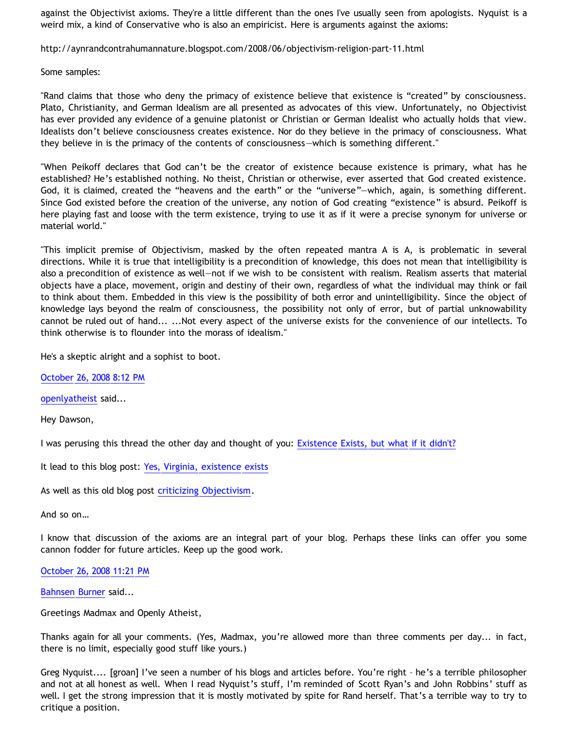against the Objectivist axioms. They're a little different than the ones I've usually seen from apologists. Nyquist is a weird mix, a kind of Conservative who is also an empiricist. Here is arguments against the axioms:

<http://aynrandcontrahumannature.blogspot.com/2008/06/objectivism-religion-part-11.html>

Some samples:

"Rand claims that those who deny the primacy of existence believe that existence is "created" by consciousness. Plato, Christianity, and German Idealism are all presented as advocates of this view. Unfortunately, no Objectivist has ever provided any evidence of a genuine platonist or Christian or German Idealist who actually holds that view. Idealists don't believe consciousness creates existence. Nor do they believe in the primacy of consciousness. What they believe in is the primacy of the contents of consciousness—which is something different."

"When Peikoff declares that God can't be the creator of existence because existence is primary, what has he established? He's established nothing. No theist, Christian or otherwise, ever asserted that God created existence. God, it is claimed, created the "heavens and the earth" or the "universe"—which, again, is something different. Since God existed before the creation of the universe, any notion of God creating "existence" is absurd. Peikoff is here playing fast and loose with the term existence, trying to use it as if it were a precise synonym for universe or material world."

"This implicit premise of Objectivism, masked by the often repeated mantra A is A, is problematic in several directions. While it is true that intelligibility is a precondition of knowledge, this does not mean that intelligibility is also a precondition of existence as well—not if we wish to be consistent with realism. Realism asserts that material objects have a place, movement, origin and destiny of their own, regardless of what the individual may think or fail to think about them. Embedded in this view is the possibility of both error and unintelligibility. Since the object of knowledge lays beyond the realm of consciousness, the possibility not only of error, but of partial unknowability cannot be ruled out of hand... ...Not every aspect of the universe exists for the convenience of our intellects. To think otherwise is to flounder into the morass of idealism."

He's a skeptic alright and a sophist to boot.

[October 26, 2008 8:12 PM](http://bahnsenburner.blogspot.com/2008/10/1619873672343061295)

[openlyatheist](http://www.blogger.com/profile/03799132607816184980) said...

Hey Dawson,

I was perusing this thread the other day and thought of you: [Existence Exists, but what if it didn't?](http://freeratio.org/vbb/showthread.php?t=255099)

It lead to this blog post: [Yes, Virginia, existence exists](http://michaelprescott.typepad.com/michael_prescotts_blog/2006/05/yes_virginia_ex.html)

As well as this old blog post [criticizing Objectivism](http://maverickphilosopher.blogspot.com/2004/05/is-ayn-rand-good-philosopher.html).

And so on…

I know that discussion of the axioms are an integral part of your blog. Perhaps these links can offer you some cannon fodder for future articles. Keep up the good work.

[October 26, 2008 11:21 PM](http://bahnsenburner.blogspot.com/2008/10/4267777534769158017)

[Bahnsen Burner](http://www.blogger.com/profile/11030029491768748360) said...

Greetings Madmax and Openly Atheist,

Thanks again for all your comments. (Yes, Madmax, you're allowed more than three comments per day... in fact, there is no limit, especially good stuff like yours.)

Greg Nyquist.... [groan] I've seen a number of his blogs and articles before. You're right – he's a terrible philosopher and not at all honest as well. When I read Nyquist's stuff, I'm reminded of Scott Ryan's and John Robbins' stuff as well. I get the strong impression that it is mostly motivated by spite for Rand herself. That's a terrible way to try to critique a position.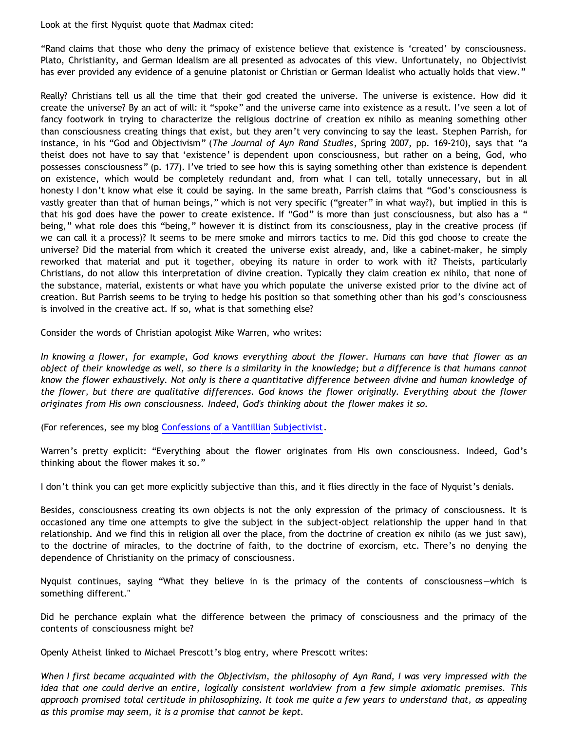Look at the first Nyquist quote that Madmax cited:

"Rand claims that those who deny the primacy of existence believe that existence is 'created' by consciousness. Plato, Christianity, and German Idealism are all presented as advocates of this view. Unfortunately, no Objectivist has ever provided any evidence of a genuine platonist or Christian or German Idealist who actually holds that view."

Really? Christians tell us all the time that their god created the universe. The universe is existence. How did it create the universe? By an act of will: it "spoke" and the universe came into existence as a result. I've seen a lot of fancy footwork in trying to characterize the religious doctrine of creation ex nihilo as meaning something other than consciousness creating things that exist, but they aren't very convincing to say the least. Stephen Parrish, for instance, in his "God and Objectivism" (*The Journal of Ayn Rand Studies*, Spring 2007, pp. 169-210), says that "a theist does not have to say that 'existence' is dependent upon consciousness, but rather on a being, God, who possesses consciousness" (p. 177). I've tried to see how this is saying something other than existence is dependent on existence, which would be completely redundant and, from what I can tell, totally unnecessary, but in all honesty I don't know what else it could be saying. In the same breath, Parrish claims that "God's consciousness is vastly greater than that of human beings," which is not very specific ("greater" in what way?), but implied in this is that his god does have the power to create existence. If "God" is more than just consciousness, but also has a " being," what role does this "being," however it is distinct from its consciousness, play in the creative process (if we can call it a process)? It seems to be mere smoke and mirrors tactics to me. Did this god choose to create the universe? Did the material from which it created the universe exist already, and, like a cabinet-maker, he simply reworked that material and put it together, obeying its nature in order to work with it? Theists, particularly Christians, do not allow this interpretation of divine creation. Typically they claim creation ex nihilo, that none of the substance, material, existents or what have you which populate the universe existed prior to the divine act of creation. But Parrish seems to be trying to hedge his position so that something other than his god's consciousness is involved in the creative act. If so, what is that something else?

Consider the words of Christian apologist Mike Warren, who writes:

*In knowing a flower, for example, God knows everything about the flower. Humans can have that flower as an object of their knowledge as well, so there is a similarity in the knowledge; but a difference is that humans cannot know the flower exhaustively. Not only is there a quantitative difference between divine and human knowledge of the flower, but there are qualitative differences. God knows the flower originally. Everything about the flower originates from His own consciousness. Indeed, God's thinking about the flower makes it so.*

(For references, see my blog [Confessions of a Vantillian Subjectivist.](http://bahnsenburner.blogspot.com/2006/03/confessions-of-vantillian-subjectivist.html)

Warren's pretty explicit: "Everything about the flower originates from His own consciousness. Indeed, God's thinking about the flower makes it so."

I don't think you can get more explicitly subjective than this, and it flies directly in the face of Nyquist's denials.

Besides, consciousness creating its own objects is not the only expression of the primacy of consciousness. It is occasioned any time one attempts to give the subject in the subject-object relationship the upper hand in that relationship. And we find this in religion all over the place, from the doctrine of creation ex nihilo (as we just saw), to the doctrine of miracles, to the doctrine of faith, to the doctrine of exorcism, etc. There's no denying the dependence of Christianity on the primacy of consciousness.

Nyquist continues, saying "What they believe in is the primacy of the contents of consciousness—which is something different."

Did he perchance explain what the difference between the primacy of consciousness and the primacy of the contents of consciousness might be?

Openly Atheist linked to Michael Prescott's blog entry, where Prescott writes:

*When I first became acquainted with the Objectivism, the philosophy of Ayn Rand, I was very impressed with the idea that one could derive an entire, logically consistent worldview from a few simple axiomatic premises. This approach promised total certitude in philosophizing. It took me quite a few years to understand that, as appealing as this promise may seem, it is a promise that cannot be kept.*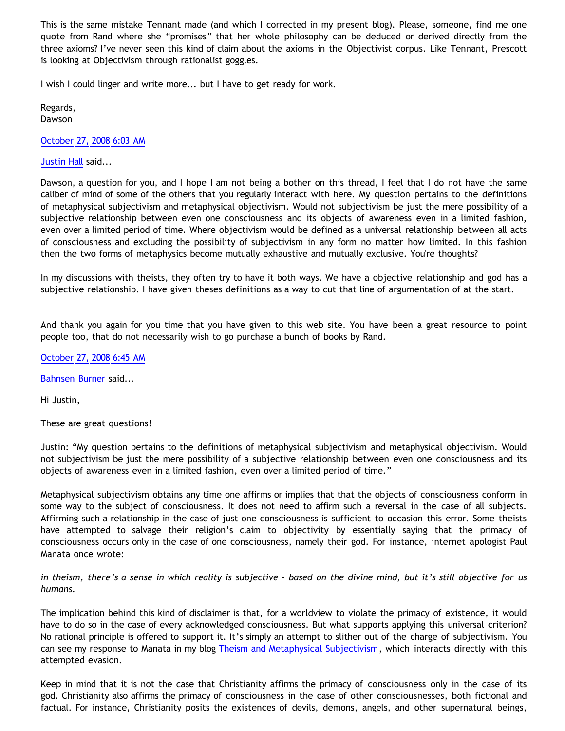This is the same mistake Tennant made (and which I corrected in my present blog). Please, someone, find me one quote from Rand where she "promises" that her whole philosophy can be deduced or derived directly from the three axioms? I've never seen this kind of claim about the axioms in the Objectivist corpus. Like Tennant, Prescott is looking at Objectivism through rationalist goggles.

I wish I could linger and write more... but I have to get ready for work.

Regards, Dawson

[October 27, 2008 6:03 AM](http://bahnsenburner.blogspot.com/2008/10/7916325020058200793)

[Justin Hall](http://www.blogger.com/profile/17804641315202800289) said...

Dawson, a question for you, and I hope I am not being a bother on this thread, I feel that I do not have the same caliber of mind of some of the others that you regularly interact with here. My question pertains to the definitions of metaphysical subjectivism and metaphysical objectivism. Would not subjectivism be just the mere possibility of a subjective relationship between even one consciousness and its objects of awareness even in a limited fashion, even over a limited period of time. Where objectivism would be defined as a universal relationship between all acts of consciousness and excluding the possibility of subjectivism in any form no matter how limited. In this fashion then the two forms of metaphysics become mutually exhaustive and mutually exclusive. You're thoughts?

In my discussions with theists, they often try to have it both ways. We have a objective relationship and god has a subjective relationship. I have given theses definitions as a way to cut that line of argumentation of at the start.

And thank you again for you time that you have given to this web site. You have been a great resource to point people too, that do not necessarily wish to go purchase a bunch of books by Rand.

[October 27, 2008 6:45 AM](http://bahnsenburner.blogspot.com/2008/10/8285429082715165025)

[Bahnsen Burner](http://www.blogger.com/profile/11030029491768748360) said...

Hi Justin,

These are great questions!

Justin: "My question pertains to the definitions of metaphysical subjectivism and metaphysical objectivism. Would not subjectivism be just the mere possibility of a subjective relationship between even one consciousness and its objects of awareness even in a limited fashion, even over a limited period of time."

Metaphysical subjectivism obtains any time one affirms or implies that that the objects of consciousness conform in some way to the subject of consciousness. It does not need to affirm such a reversal in the case of all subjects. Affirming such a relationship in the case of just one consciousness is sufficient to occasion this error. Some theists have attempted to salvage their religion's claim to objectivity by essentially saying that the primacy of consciousness occurs only in the case of one consciousness, namely their god. For instance, internet apologist Paul Manata once wrote:

*in theism, there's a sense in which reality is subjective - based on the divine mind, but it's still objective for us humans.*

The implication behind this kind of disclaimer is that, for a worldview to violate the primacy of existence, it would have to do so in the case of every acknowledged consciousness. But what supports applying this universal criterion? No rational principle is offered to support it. It's simply an attempt to slither out of the charge of subjectivism. You can see my response to Manata in my blog [Theism and Metaphysical Subjectivism,](http://bahnsenburner.blogspot.com/2006/12/theism-and-subjective-metaphysics.html) which interacts directly with this attempted evasion.

Keep in mind that it is not the case that Christianity affirms the primacy of consciousness only in the case of its god. Christianity also affirms the primacy of consciousness in the case of other consciousnesses, both fictional and factual. For instance, Christianity posits the existences of devils, demons, angels, and other supernatural beings,